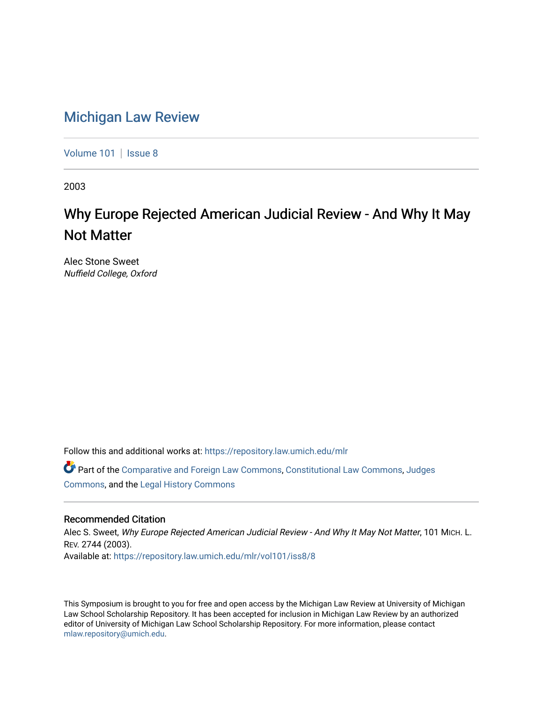# [Michigan Law Review](https://repository.law.umich.edu/mlr)

[Volume 101](https://repository.law.umich.edu/mlr/vol101) | [Issue 8](https://repository.law.umich.edu/mlr/vol101/iss8)

2003

# Why Europe Rejected American Judicial Review - And Why It May Not Matter

Alec Stone Sweet Nuffield College, Oxford

Follow this and additional works at: [https://repository.law.umich.edu/mlr](https://repository.law.umich.edu/mlr?utm_source=repository.law.umich.edu%2Fmlr%2Fvol101%2Fiss8%2F8&utm_medium=PDF&utm_campaign=PDFCoverPages) 

Part of the [Comparative and Foreign Law Commons,](http://network.bepress.com/hgg/discipline/836?utm_source=repository.law.umich.edu%2Fmlr%2Fvol101%2Fiss8%2F8&utm_medium=PDF&utm_campaign=PDFCoverPages) [Constitutional Law Commons,](http://network.bepress.com/hgg/discipline/589?utm_source=repository.law.umich.edu%2Fmlr%2Fvol101%2Fiss8%2F8&utm_medium=PDF&utm_campaign=PDFCoverPages) [Judges](http://network.bepress.com/hgg/discipline/849?utm_source=repository.law.umich.edu%2Fmlr%2Fvol101%2Fiss8%2F8&utm_medium=PDF&utm_campaign=PDFCoverPages) [Commons](http://network.bepress.com/hgg/discipline/849?utm_source=repository.law.umich.edu%2Fmlr%2Fvol101%2Fiss8%2F8&utm_medium=PDF&utm_campaign=PDFCoverPages), and the [Legal History Commons](http://network.bepress.com/hgg/discipline/904?utm_source=repository.law.umich.edu%2Fmlr%2Fvol101%2Fiss8%2F8&utm_medium=PDF&utm_campaign=PDFCoverPages)

## Recommended Citation

Alec S. Sweet, Why Europe Rejected American Judicial Review - And Why It May Not Matter, 101 MICH. L. REV. 2744 (2003). Available at: [https://repository.law.umich.edu/mlr/vol101/iss8/8](https://repository.law.umich.edu/mlr/vol101/iss8/8?utm_source=repository.law.umich.edu%2Fmlr%2Fvol101%2Fiss8%2F8&utm_medium=PDF&utm_campaign=PDFCoverPages) 

This Symposium is brought to you for free and open access by the Michigan Law Review at University of Michigan Law School Scholarship Repository. It has been accepted for inclusion in Michigan Law Review by an authorized editor of University of Michigan Law School Scholarship Repository. For more information, please contact [mlaw.repository@umich.edu.](mailto:mlaw.repository@umich.edu)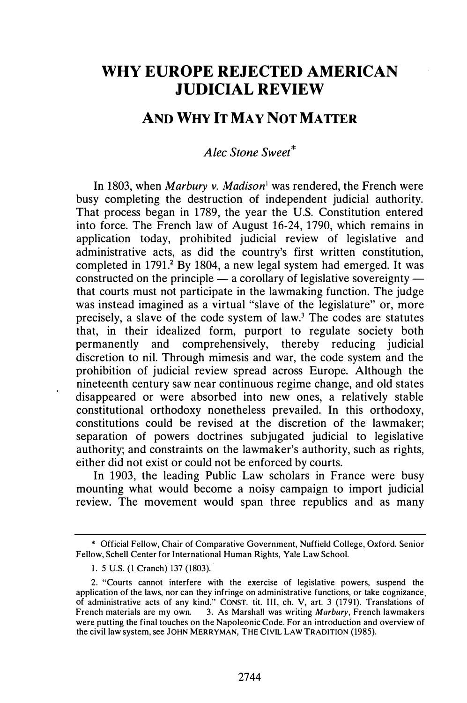# WHY EUROPE REJECTED AMERICAN JUDICIAL REVIEW

# AND WHY IT MAY NOT MATTER

## Alec Stone Sweet\*

In 1803, when Marbury v. Madison<sup>1</sup> was rendered, the French were busy completing the destruction of independent judicial authority. That process began in 1789, the year the U.S. Constitution entered into force. The French law of August 16-24, 1790, which remains in application today, prohibited judicial review of legislative and administrative acts, as did the country's first written constitution, completed in 1791.<sup>2</sup> By 1804, a new legal system had emerged. It was constructed on the principle  $-$  a corollary of legislative sovereignty  $$ that courts must not participate in the lawmaking function. The judge was instead imagined as a virtual "slave of the legislature" or, more precisely, a slave of the code system of law.3 The codes are statutes that, in their idealized form, purport to regulate society both permanently and comprehensively, thereby reducing judicial discretion to nil. Through mimesis and war, the code system and the prohibition of judicial review spread across Europe. Although the nineteenth century saw near continuous regime change, and old states disappeared or were absorbed into new ones, a relatively stable constitutional orthodoxy nonetheless prevailed. In this orthodoxy, constitutions could be revised at the discretion of the lawmaker; separation of powers doctrines subjugated judicial to legislative authority; and constraints on the lawmaker's authority, such as rights, either did not exist or could not be enforced by courts.

In 1903, the leading Public Law scholars in France were busy mounting what would become a noisy campaign to import judicial review. The movement would span three republics and as many

<sup>\*</sup> Official Fellow, Chair of Comparative Government, Nuffield College, Oxford. Senior Fellow, Schell Center for International Human Rights, Yale Law School.

<sup>1. 5</sup> U.S. (1 Cranch) 137 (1803).

<sup>2. &</sup>quot;Courts cannot interfere with the exercise of legislative powers, suspend the application of the laws, nor can they infringe on administrative functions, or take cognizance of administrative acts of any kind." CONST. tit. III, ch. V, art. 3 (1791). Translations of French materials are my own. 3. As Marshall was writing Marbury, French lawmakers were putting the final touches on the Napoleonic Code. For an introduction and overview of the civil law system, see JOHN MERRYMAN, THE CIVIL LAW TRADITION (1985).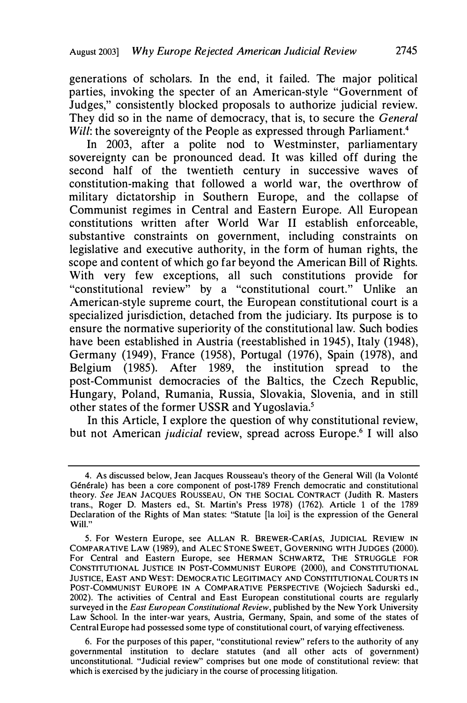generations of scholars. In the end, it failed. The major political parties, invoking the specter of an American-style "Government of Judges," consistently blocked proposals to authorize judicial review. They did so in the name of democracy, that is, to secure the *General* Will: the sovereignty of the People as expressed through Parliament.<sup>4</sup>

In 2003, after a polite nod to Westminster, parliamentary sovereignty can be pronounced dead. It was killed off during the second half of the twentieth century in successive waves of constitution-making that followed a world war, the overthrow of military dictatorship in Southern Europe, and the collapse of Communist regimes in Central and Eastern Europe. All European constitutions written after World War II establish enforceable, substantive constraints on government, including constraints on legislative and executive authority, in the form of human rights, the scope and content of which go far beyond the American Bill of Rights. With very few exceptions, all such constitutions provide for "constitutional review" by a "constitutional court." Unlike an American-style supreme court, the European constitutional court is a specialized jurisdiction, detached from the judiciary. Its purpose is to ensure the normative superiority of the constitutional law. Such bodies have been established in Austria (reestablished in 1945), Italy (1948), Germany (1949), France (1958), Portugal (1976), Spain (1978), and Belgium (1985). After 1989, the institution spread to the post-Communist democracies of the Baltics, the Czech Republic, Hungary, Poland, Rumania, Russia, Slovakia, Slovenia, and in still other states of the former USSR and Yugoslavia.5

In this Article, I explore the question of why constitutional review, but not American *judicial* review, spread across Europe.<sup>6</sup> I will also

6. For the purposes of this paper, "constitutional review" refers to the authority of any governmental institution to declare statutes (and all other acts of government) unconstitutional. "Judicial review" comprises but one mode of constitutional review: that which is exercised by the judiciary in the course of processing litigation.

<sup>4.</sup> As discussed below, Jean Jacques Rousseau's theory of the General Will (la Volonte Générale) has been a core component of post-1789 French democratic and constitutional theory. See JEAN JACQUES ROUSSEAU, ON THE SOCIAL CONTRACT (Judith R. Masters trans., Roger D. Masters ed., St. Martin's Press 1978) (1762). Article 1 of the 1789 Declaration of the Rights of Man states: "Statute [la Joi] is the expression of the General Will."

<sup>5.</sup> For Western Europe, see ALLAN R. BREWER-CARIAS, JUDICIAL REVIEW IN COMPARATIVE LAW (1989), and ALEC STONE SWEET, GOVERNING WITH JUDGES (2000). For Central and Eastern Europe, see HERMAN SCHWARTZ, THE STRUGGLE FOR CONSTITUTIONAL JUSTICE IN POST-COMMUNIST EUROPE (2000), and CONSTITUTIONAL JUSTICE, EAST AND WEST: DEMOCRATIC LEGITIMACY AND CONSTITUTIONAL COURTS IN POST-COMMUNIST EUROPE IN A COMPARATIVE PERSPECTIVE (Wojciech Sadurski ed., 2002). The activities of Central and East European constitutional courts are regularly surveyed in the East European Constitutional Review, published by the New York University Law School. In the inter-war years, Austria, Germany, Spain, and some of the states of Central Europe had possessed some type of constitutional court, of varying effectiveness.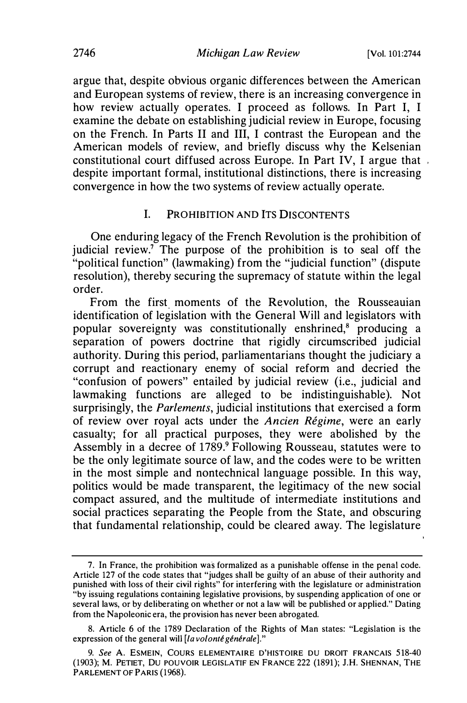argue that, despite obvious organic differences between the American and European systems of review, there is an increasing convergence in how review actually operates. I proceed as follows. In Part I, I examine the debate on establishing judicial review in Europe, focusing on the French. In Parts II and III, I contrast the European and the American models of review, and briefly discuss why the Kelsenian constitutional court diffused across Europe. In Part IV, I argue that despite important formal, institutional distinctions, there is increasing convergence in how the two systems of review actually operate.

#### I. PROHIBITION AND ITS DISCONTENTS

One enduring legacy of the French Revolution is the prohibition of judicial review.<sup>7</sup> The purpose of the prohibition is to seal off the "political function" (lawmaking) from the "judicial function" (dispute resolution), thereby securing the supremacy of statute within the legal order.

From the first moments of the Revolution, the Rousseauian identification of legislation with the General Will and legislators with popular sovereignty was constitutionally enshrined,<sup>8</sup> producing a separation of powers doctrine that rigidly circumscribed judicial authority. During this period, parliamentarians thought the judiciary a corrupt and reactionary enemy of social reform and decried the "confusion of powers" entailed by judicial review (i.e., judicial and lawmaking functions are alleged to be indistinguishable). Not surprisingly, the *Parlements*, judicial institutions that exercised a form of review over royal acts under the Ancien Regime, were an early casualty; for all practical purposes, they were abolished by the Assembly in a decree of 1789.<sup>9</sup> Following Rousseau, statutes were to be the only legitimate source of law, and the codes were to be written in the most simple and nontechnical language possible. In this way, politics would be made transparent, the legitimacy of the new social compact assured, and the multitude of intermediate institutions and social practices separating the People from the State, and obscuring that fundamental relationship, could be cleared away. The legislature

<sup>7.</sup> In France, the prohibition was formalized as a punishable offense in the penal code. Article 127 of the code states that "judges shall be guilty of an abuse of their authority and punished with loss of their civil rights" for interfering with the legislature or administration "by issuing regulations containing legislative provisions, by suspending application of one or several laws, or by deliberating on whether or not a law will be published or applied." Dating from the Napoleonic era, the provision has never been abrogated.

<sup>8.</sup> Article 6 of the 1789 Declaration of the Rights of Man states: "Legislation is the expression of the general will  $[lawolonté générale]$ ."

<sup>9.</sup> See A. ESMEIN, COURS ELEMENTAIRE D'HISTOIRE DU DROIT FRANCAIS 518-40 (1903); M. PETIET, DU POUVOIR LEGISLATIF EN FRANCE 222 (1891); J.H. SHENNAN, THE PARLEMENT OF PARIS (1968).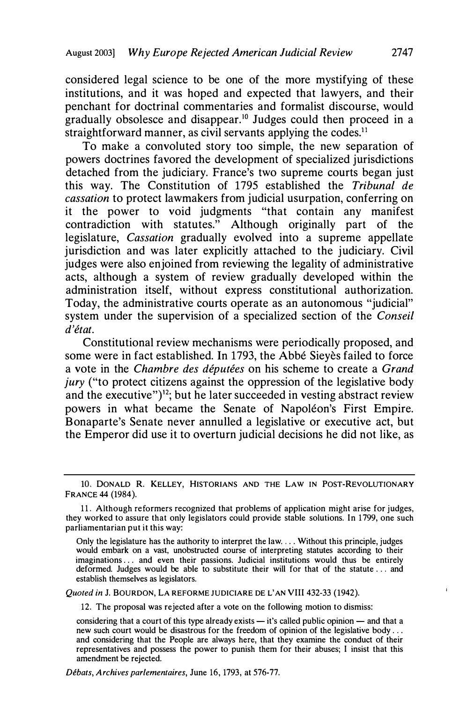considered legal science to be one of the more mystifying of these institutions, and it was hoped and expected that lawyers, and their penchant for doctrinal commentaries and formalist discourse, would gradually obsolesce and disappear.<sup>10</sup> Judges could then proceed in a straightforward manner, as civil servants applying the codes. $11$ 

To make a convoluted story too simple, the new separation of powers doctrines favored the development of specialized jurisdictions detached from the judiciary. France's two supreme courts began just this way. The Constitution of 1795 established the Tribunal de cassation to protect lawmakers from judicial usurpation, conferring on it the power to void judgments "that contain any manifest contradiction with statutes." Although originally part of the legislature, Cassation gradually evolved into a supreme appellate jurisdiction and was later explicitly attached to the judiciary. Civil judges were also enjoined from reviewing the legality of administrative acts, although a system of review gradually developed within the administration itself, without express constitutional authorization. Today, the administrative courts operate as an autonomous "judicial" system under the supervision of a specialized section of the *Conseil* d'etat.

Constitutional review mechanisms were periodically proposed, and some were in fact established. In 1793, the Abbé Sieyès failed to force a vote in the Chambre des députées on his scheme to create a Grand jury ("to protect citizens against the oppression of the legislative body and the executive")<sup>12</sup>; but he later succeeded in vesting abstract review powers in what became the Senate of Napoléon's First Empire. Bonaparte's Senate never annulled a legislative or executive act, but the Emperor did use it to overturn judicial decisions he did not like, as

Only the legislature has the authority to interpret the law .... Without this principle, judges would embark on a vast, unobstructed course of interpreting statutes according to their imaginations ... and even their passions. Judicial institutions would thus be entirely deformed. Judges would be able to substitute their will for that of the statute ... and establish themselves as legislators.

Quoted in J. BOURDON, LA REFORME JUDICIARE DE L'AN VIII 432-33 (1942).

12. The proposal was rejected after a vote on the following motion to dismiss:

considering that a court of this type already exists  $-$  it's called public opinion  $-$  and that a new such court would be disastrous for the freedom of opinion of the legislative body ... and considering that the People are always here, that they examine the conduct of their representatives and possess the power to punish them for their abuses; I insist that this amendment be rejected.

Débats, Archives parlementaires, June 16, 1793, at 576-77.

<sup>10,</sup> DONALD R. KELLEY, HISTORIANS AND THE LAW IN POST-REVOLUTIONARY FRANCE 44 (1984).

<sup>11.</sup> Although reformers recognized that problems of application might arise for judges, they worked to assure that only legislators could provide stable solutions. In 1799, one such parliamentarian put it this way: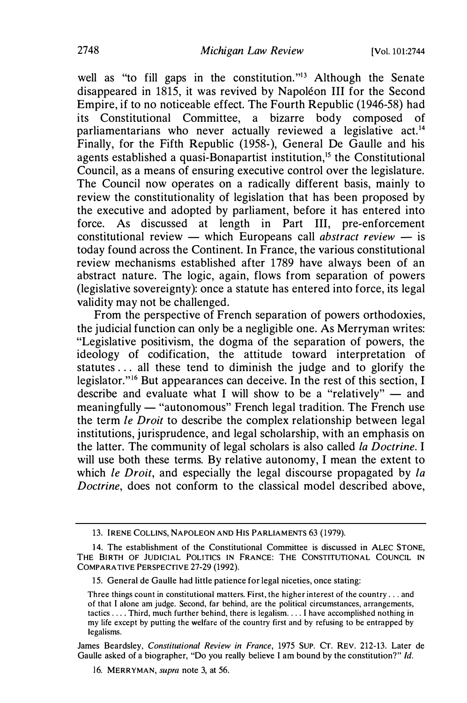well as "to fill gaps in the constitution."<sup>13</sup> Although the Senate disappeared in 1815, it was revived by Napoléon III for the Second Empire, if to no noticeable effect. The Fourth Republic (1946-58) had its Constitutional Committee, a bizarre body composed of parliamentarians who never actually reviewed a legislative act.<sup>14</sup> Finally, for the Fifth Republic (1958-), General De Gaulle and his agents established a quasi-Bonapartist institution,<sup>15</sup> the Constitutional Council, as a means of ensuring executive control over the legislature. The Council now operates on a radically different basis, mainly to review the constitutionality of legislation that has been proposed by the executive and adopted by parliament, before it has entered into force. As discussed at length in Part III, pre-enforcement constitutional review — which Europeans call *abstract review* — is today found across the Continent. In France, the various constitutional review mechanisms established after 1789 have always been of an abstract nature. The logic, again, flows from separation of powers (legislative sovereignty): once a statute has entered into force, its legal validity may not be challenged.

From the perspective of French separation of powers orthodoxies, the judicial function can only be a negligible one. As Merryman writes: "Legislative positivism, the dogma of the separation of powers, the ideology of codification, the attitude toward interpretation of statutes ... all these tend to diminish the judge and to glorify the Iegislator."16 But appearances can deceive. In the rest of this section, I describe and evaluate what I will show to be a "relatively"  $-$  and meaningfully — "autonomous" French legal tradition. The French use the term le Droit to describe the complex relationship between legal institutions, jurisprudence, and legal scholarship, with an emphasis on the latter. The community of legal scholars is also called *la Doctrine*. I will use both these terms. By relative autonomy, I mean the extent to which *le Droit*, and especially the legal discourse propagated by *la* Doctrine, does not conform to the classical model described above,

James Beardsley, Constitutional Review in France, 1975 SUP. CT. REV. 212-13. Later de Gaulle asked of a biographer, "Do you really believe I am bound by the constitution?" Id.

<sup>13.</sup> IRENE COLLINS, NAPOLEON AND HIS PARLIAMENTS 63 (1979).

<sup>14.</sup> The establishment of the Constitutional Committee is discussed in ALEC STONE, THE BIRTH OF JUDICIAL POLITICS IN FRANCE: THE CONSTITUTIONAL COUNCIL IN COMPARATIVE PERSPECTIVE 27-29 (1992).

<sup>15.</sup> General de Gaulle had little patience for legal niceties, once stating:

Three things count in constitutional matters. First, the higher interest of the country ... and of that I alone am judge. Second, far behind, are the political circumstances, arrangements, tactics .... Third, much further behind, there is legalism .. .. I have accomplished nothing in my life except by putting the welfare of the country first and by refusing to be entrapped by legalisms.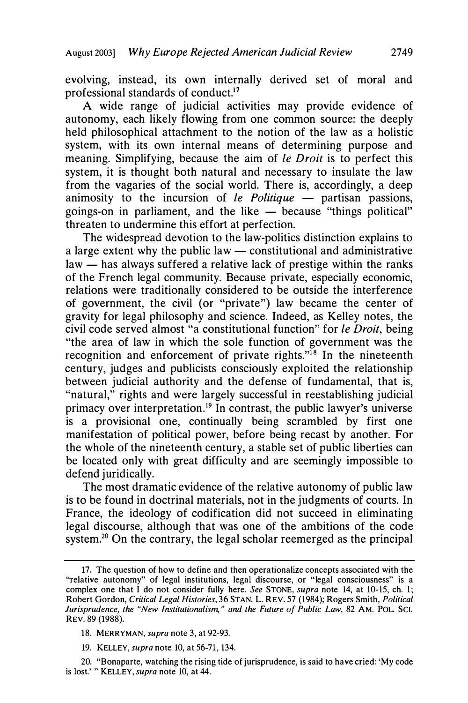evolving, instead, its own internally derived set of moral and professional standards of conduct.<sup>17</sup>

A wide range of judicial activities may provide evidence of autonomy, each likely flowing from one common source: the deeply held philosophical attachment to the notion of the law as a holistic system, with its own internal means of determining purpose and meaning. Simplifying, because the aim of le Droit is to perfect this system, it is thought both natural and necessary to insulate the law from the vagaries of the social world. There is, accordingly, a deep animosity to the incursion of le Politique  $\overline{a}$  partisan passions, goings-on in parliament, and the like  $-$  because "things political" threaten to undermine this effort at perfection.

The widespread devotion to the law-politics distinction explains to a large extent why the public law  $\frac{1}{2}$  constitutional and administrative  $law - has always suffered a relative lack of prestige within the ranks$ of the French legal community. Because private, especially economic, relations were traditionally considered to be outside the interference of government, the civil (or "private") law became the center of gravity for legal philosophy and science. Indeed, as Kelley notes, the civil code served almost "a constitutional function" for le Droit, being "the area of law in which the sole function of government was the recognition and enforcement of private rights."<sup>18</sup> In the nineteenth century, judges and publicists consciously exploited the relationship between judicial authority and the defense of fundamental, that is, "natural," rights and were largely successful in reestablishing judicial primacy over interpretation.19 In contrast, the public lawyer's universe is a provisional one, continually being scrambled by first one manifestation of political power, before being recast by another. For the whole of the nineteenth century, a stable set of public liberties can be located only with great difficulty and are seemingly impossible to defend juridically.

The most dramatic evidence of the relative autonomy of public law is to be found in doctrinal materials, not in the judgments of courts. In France, the ideology of codification did not succeed in eliminating legal discourse, although that was one of the ambitions of the code system.20 On the contrary, the legal scholar reemerged as the principal

- 18. MERRYMAN, supra note 3, at 92-93.
- 19. KELLEY, supra note 10, at 56-71, 134.

20. "Bonaparte, watching the rising tide of jurisprudence, is said to have cried: 'My code is lost.' " KELLEY, supra note 10, at 44.

<sup>17.</sup> The question of how to define and then operationalize concepts associated with the "relative autonomy" of legal institutions, legal discourse, or "legal consciousness" is a complex one that I do not consider fully here. See STONE, supra note 14, at 10-15, ch. 1; Robert Gordon, Critical Legal Histories, 36 STAN. L. REV. 57 (1984); Rogers Smith, Political Jurisprudence, the "New Institutionalism," and the Future of Public Law, 82 AM. POL. SCI. REV. 89 (1988).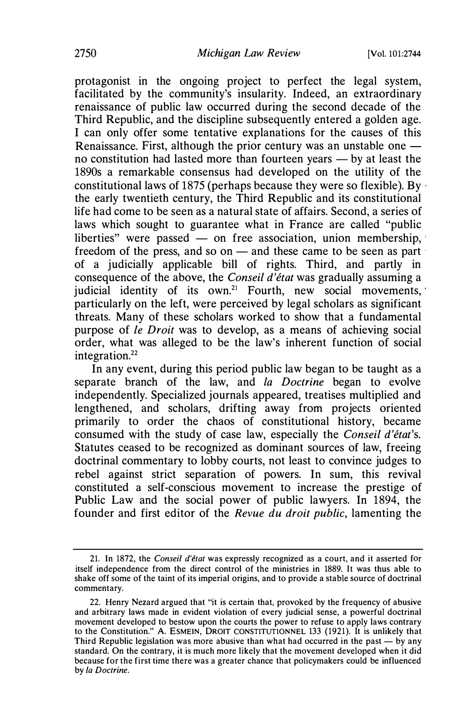protagonist in the ongoing project to perfect the legal system, facilitated by the community's insularity. Indeed, an extraordinary renaissance of public law occurred during the second decade of the Third Republic, and the discipline subsequently entered a golden age. I can only offer some tentative explanations for the causes of this Renaissance. First, although the prior century was an unstable one  $$ no constitution had lasted more than fourteen years  $-$  by at least the 1890s a remarkable consensus had developed on the utility of the constitutional laws of 1875 (perhaps because they were so flexible). By the early twentieth century, the Third Republic and its constitutional life had come to be seen as a natural state of affairs. Second, a series of laws which sought to guarantee what in France are called "public liberties" were passed  $-$  on free association, union membership, freedom of the press, and so on  $-$  and these came to be seen as part  $\cdot$ of a judicially applicable bill of rights. Third, and partly in consequence of the above, the *Conseil d'état* was gradually assuming a judicial identity of its own.<sup>21</sup> Fourth, new social movements, particularly on the left, were perceived by legal scholars as significant threats. Many of these scholars worked to show that a fundamental purpose of le Droit was to develop, as a means of achieving social order, what was alleged to be the law's inherent function of social integration.<sup>22</sup>

In any event, during this period public law began to be taught as a separate branch of the law, and la Doctrine began to evolve independently. Specialized journals appeared, treatises multiplied and lengthened, and scholars, drifting away from projects oriented primarily to order the chaos of constitutional history, became consumed with the study of case law, especially the *Conseil d'état's*. Statutes ceased to be recognized as dominant sources of law, freeing doctrinal commentary to lobby courts, not least to convince judges to rebel against strict separation of powers. In sum, this revival constituted a self-conscious movement to increase the prestige of Public Law and the social power of public lawyers. In 1894, the founder and first editor of the Revue du droit public, lamenting the

<sup>21.</sup> In 1872, the Conseil d'etat was expressly recognized as a court, and it asserted for itself independence from the direct control of the ministries in 1889. It was thus able to shake off some of the taint of its imperial origins, and to provide a stable source of doctrinal commentary.

<sup>22.</sup> Henry Nezard argued that "it is certain that, provoked by the frequency of abusive and arbitrary laws made in evident violation of every judicial sense, a powerful doctrinal movement developed to bestow upon the courts the power to refuse to apply laws contrary to the Constitution." A. ESMEIN, DROIT CONSTITUTIONNEL 133 (1921). It is unlikely that Third Republic legislation was more abusive than what had occurred in the past  $-$  by any standard. On the contrary, it is much more likely that the movement developed when it did because for the first time there was a greater chance that policymakers could be influenced by la Doctrine.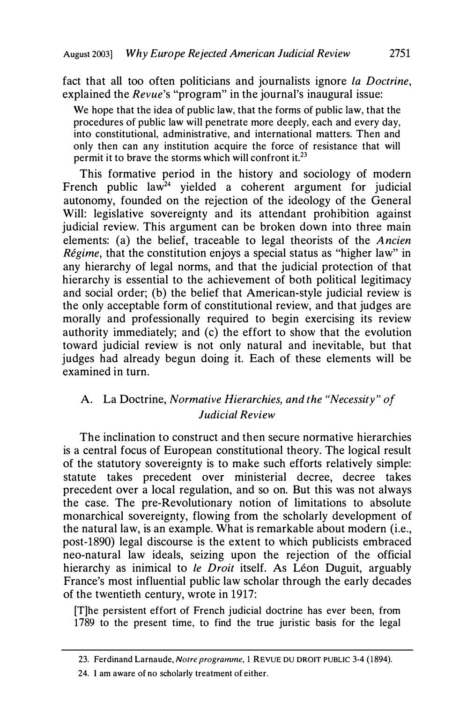fact that all too often politicians and journalists ignore la Doctrine, explained the *Revue's* "program" in the journal's inaugural issue:

We hope that the idea of public law, that the forms of public law, that the procedures of public law will penetrate more deeply, each and every day, into constitutional, administrative, and international matters. Then and only then can any institution acquire the force of resistance that will permit it to brave the storms which will confront it.<sup>23</sup>

This formative period in the history and sociology of modem French public law<sup>24</sup> yielded a coherent argument for judicial autonomy, founded on the rejection of the ideology of the General Will: legislative sovereignty and its attendant prohibition against judicial review. This argument can be broken down into three main elements: (a) the belief, traceable to legal theorists of the Ancien Regime, that the constitution enjoys a special status as "higher law" in any hierarchy of legal norms, and that the judicial protection of that hierarchy is essential to the achievement of both political legitimacy and social order; (b) the belief that American-style judicial review is the only acceptable form of constitutional review, and that judges are morally and professionally required to begin exercising its review authority immediately; and (c) the effort to show that the evolution toward judicial review is not only natural and inevitable, but that judges had already begun doing it. Each of these elements will be examined in tum.

# A. La Doctrine, Normative Hierarchies, and the "Necessity" of Judicial Review

The inclination to construct and then secure normative hierarchies is a central focus of European constitutional theory. The logical result of the statutory sovereignty is to make such efforts relatively simple: statute takes precedent over ministerial decree, decree takes precedent over a local regulation, and so on. But this was not always the case. The pre-Revolutionary notion of limitations to absolute monarchical sovereignty, flowing from the scholarly development of the natural law, is an example. What is remarkable about modem (i.e., post-1890) legal discourse is the extent to which publicists embraced neo-natural law ideals, seizing upon the rejection of the official hierarchy as inimical to le Droit itself. As Léon Duguit, arguably France's most influential public law scholar through the early decades of the twentieth century, wrote in 1917:

[T]he persistent effort of French judicial doctrine has ever been, from 1789 to the present time, to find the true juristic basis for the legal

<sup>23.</sup> Ferdinand Larnaude, Notre programme, 1 REVUE DU DROIT PUBLIC 3-4 (1894).

<sup>24.</sup> I am aware of no scholarly treatment of either.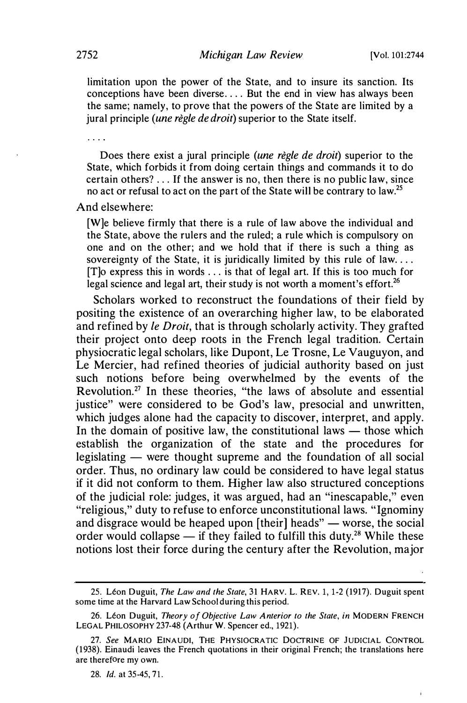ï

limitation upon the power of the State, and to insure its sanction. Its conceptions have been diverse .... But the end in view has always been the same; namely, to prove that the powers of the State are limited by a jural principle (*une règle de droit*) superior to the State itself.

Does there exist a jural principle *(une règle de droit)* superior to the State, which forbids it from doing certain things and commands it to do certain others? ... If the answer is no, then there is no public law, since no act or refusal to act on the part of the State will be contrary to law.<sup>25</sup>

And elsewhere:

[W]e believe firmly that there is a rule of law above the individual and the State, above the rulers and the ruled; a rule which is compulsory on one and on the other; and we hold that if there is such a thing as sovereignty of the State, it is juridically limited by this rule of law.... [T]o express this in words ... is that of legal art. If this is too much for legal science and legal art, their study is not worth a moment's effort.<sup>26</sup>

Scholars worked to reconstruct the foundations of their field by positing the existence of an overarching higher law, to be elaborated and refined by le Droit, that is through scholarly activity. They grafted their project onto deep roots in the French legal tradition. Certain physiocratic legal scholars, like Dupont, Le Trosne, Le Vauguyon, and Le Mercier, had refined theories of judicial authority based on just such notions before being overwhelmed by the events of the Revolution.<sup>27</sup> In these theories, "the laws of absolute and essential justice" were considered to be God's law, presocial and unwritten, which judges alone had the capacity to discover, interpret, and apply. In the domain of positive law, the constitutional laws  $-$  those which establish the organization of the state and the procedures for  $legislating - were thought supreme and the foundation of all social$ order. Thus, no ordinary law could be considered to have legal status if it did not conform to them. Higher law also structured conceptions of the judicial role: judges, it was argued, had an "inescapable," even "religious," duty to refuse to enforce unconstitutional laws. "Ignominy and disgrace would be heaped upon  $[their]$  heads"  $-$  worse, the social order would collapse  $-$  if they failed to fulfill this duty.<sup>28</sup> While these notions lost their force during the century after the Revolution, major

<sup>25.</sup> Léon Duguit, The Law and the State, 31 HARV. L. REV. 1, 1-2 (1917). Duguit spent some time at the Harvard Law School during this period.

<sup>26.</sup> Léon Duguit, Theory of Objective Law Anterior to the State, in MODERN FRENCH LEGAL PHILOSOPHY 237-48 (Arthur w. Spencer ed., 1921).

<sup>27.</sup> See MARIO EINAUDI, THE PHYSIOCRATIC DOCTRINE OF JUDICIAL CONTROL (1938). Einaudi leaves the French quotations in their original French; the translations here are therefore my own.

<sup>28.</sup> Id. at 35-45, 71.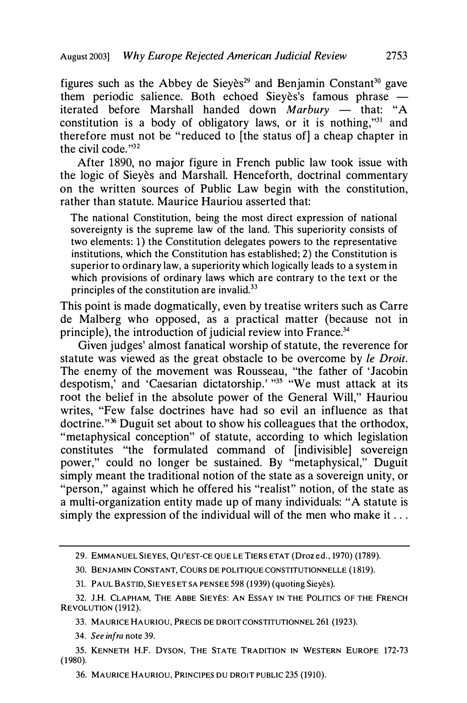figures such as the Abbey de Sieyès<sup>29</sup> and Benjamin Constant<sup>30</sup> gave them periodic salience. Both echoed Sieyès's famous phrase iterated before Marshall handed down  $Marbury$  - that: "A constitution is a body of obligatory laws, or it is nothing,"31 and therefore must not be "reduced to [the status of] a cheap chapter in the civil code. "32

After 1890, no major figure in French public law took issue with the logic of Sieyes and Marshall. Henceforth, doctrinal commentary on the written sources of Public Law begin with the constitution, rather than statute. Maurice Hauriou asserted that:

The national Constitution, being the most direct expression of national sovereignty is the supreme law of the land. This superiority consists of two elements: 1) the Constitution delegates powers to the representative institutions, which the Constitution has established; 2) the Constitution is superior to ordinary law, a superiority which logically leads to a system in which provisions of ordinary laws which are contrary to the text or the principles of the constitution are invalid. $33$ 

This point is made dogmatically, even by treatise writers such as Carre de Malberg who opposed, as a practical matter (because not in principle), the introduction of judicial review into France.<sup>34</sup>

Given judges' almost fanatical worship of statute, the reverence for statute was viewed as the great obstacle to be overcome by le Droit. The enemy of the movement was Rousseau, "the father of 'Jacobin despotism,' and 'Caesarian dictatorship.' "35 "We must attack at its root the belief in the absolute power of the General Will," Hauriou writes, "Few false doctrines have had so evil an influence as that doctrine."36 Duguit set about to show his colleagues that the orthodox, "metaphysical conception" of statute, according to which legislation constitutes "the formulated command of [indivisible] sovereign power," could no longer be sustained. By "metaphysical,'' Duguit simply meant the traditional notion of the state as a sovereign unity, or "person," against which he offered his "realist" notion, of the state as a multi-organization entity made up of many individuals: "A statute is simply the expression of the individual will of the men who make it  $\dots$ 

<sup>29.</sup> EMMANUEL SJEYES, Qu'EST-CE QUE LE TIERS ETAT (Droz ed., 1970) (1789).

<sup>30.</sup> BENJAMIN CONSTANT, COURS DE POLITIQUE CONSTITUTIONNELLE (1819).

<sup>31.</sup> PAUL BASTID, SIEYES ET SA PENSEE 598 (1939) (quoting Sieyes).

<sup>32.</sup> J.H. CLAPHAM, THE ABBE SJEYES: AN ESSAY IN THE POLITICS OF THE FRENCH REVOLUTION (1912).

<sup>33.</sup> MAURICE HAURIOU, PRECIS DE DROIT CONSTITUTIONNEL 261 (1923).

<sup>34.</sup> See infra note 39.

<sup>35.</sup> KENNETH H.F. DYSON, THE STATE TRADITION IN WESTERN EUROPE 172-73 (1980).

<sup>36.</sup> MAURICE HAURIOU, PRINCIPES DU DROIT PUBLIC 235 (1910).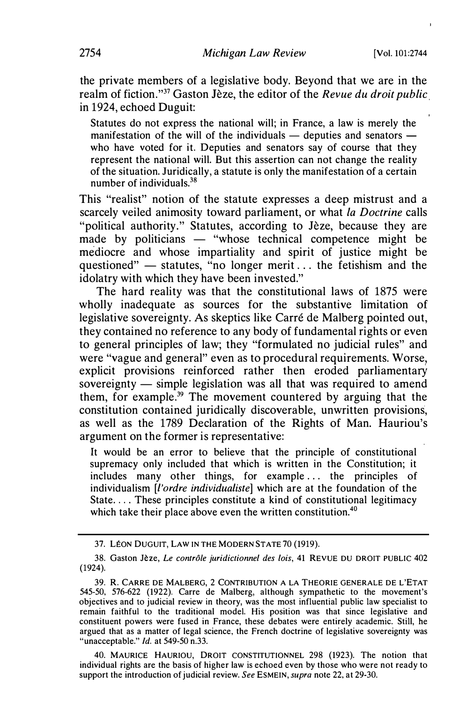the private members of a legislative body. Beyond that we are in the realm of fiction."<sup>37</sup> Gaston Jèze, the editor of the Revue du droit public in 1924, echoed Duguit:

Statutes do not express the national will; in France, a law is merely the manifestation of the will of the individuals  $-$  deputies and senators  $$ who have voted for it. Deputies and senators say of course that they represent the national will. But this assertion can not change the reality of the situation. Juridically, a statute is only the manifestation of a certain number of individuals.38

This "realist" notion of the statute expresses a deep mistrust and a scarcely veiled animosity toward parliament, or what la Doctrine calls "political authority." Statutes, according to Jèze, because they are  $m$ ade by politicians — "whose technical competence might be mediocre and whose impartiality and spirit of justice might be questioned" - statutes, "no longer merit ... the fetishism and the idolatry with which they have been invested."

The hard reality was that the constitutional laws of 1875 were wholly inadequate as sources for the substantive limitation of legislative sovereignty. As skeptics like Carré de Malberg pointed out, they contained no reference to any body of fundamental rights or even to general principles of law; they "formulated no judicial rules" and were "vague and general" even as to procedural requirements. Worse, explicit provisions reinforced rather then eroded parliamentary sovereignty  $-$  simple legislation was all that was required to amend them, for example.39 The movement countered by arguing that the constitution contained juridically discoverable, unwritten provisions, as well as the 1789 Declaration of the Rights of Man. Hauriou's argument on the former is representative:

It would be an error to believe that the principle of constitutional supremacy only included that which is written in the Constitution; it includes many other things, for example . . . the principles of individualism [l'ordre individualiste] which are at the foundation of the State.... These principles constitute a kind of constitutional legitimacy which take their place above even the written constitution.<sup>40</sup>

40. MAURICE HAURIOU, DROIT CONSTITUTIONNEL 298 (1923). The notion that individual rights are the basis of higher law is echoed even by those who were not ready to support the introduction of judicial review. See ESMEIN, supra note 22, at 29-30.

<sup>37.</sup> LÉON DUGUIT, LAW IN THE MODERN STATE 70 (1919).

<sup>38.</sup> Gaston Jèze, Le contrôle juridictionnel des lois, 41 REVUE DU DROIT PUBLIC 402 (1924).

<sup>39.</sup> R. CARRE DE MALBERG, 2 CONTRIBUTION A LA THEORIE GENERALE DE L'ETAT 545-50, 576-622 (1922). Carre de Malberg, although sympathetic to the movement's objectives and to judicial review in theory, was the most influential public law specialist to remain faithful to the traditional model. His position was that since legislative and constituent powers were fused in France, these debates were entirely academic. Still, he argued that as a matter of legal science, the French doctrine of legislative sovereignty was "unacceptable."  $Id$ . at 549-50 n.33.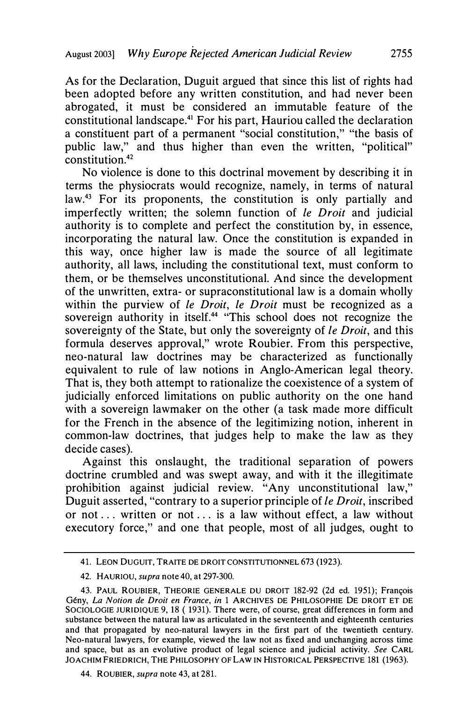As for the Declaration, Duguit argued that since this list of rights had been adopted before any written constitution, and had never been abrogated, it must be considered an immutable feature of the constitutional landscape. 41 For his part, Hauriou called the declaration a constituent part of a permanent "social constitution," "the basis of public law," and thus higher than even the written, "political"  $constitution<sup>42</sup>$ 

No violence is done to this doctrinal movement by describing it in terms the physiocrats would recognize, namely, in terms of natural law.<sup>43</sup> For its proponents, the constitution is only partially and imperfectly written; the solemn function of le Droit and judicial authority is to complete and perfect the constitution by, in essence, incorporating the natural law. Once the constitution is expanded in this way, once higher law is made the source of all legitimate authority, all laws, including the constitutional text, must conform to them, or be themselves unconstitutional. And since the development of the unwritten, extra- or supraconstitutional law is a domain wholly within the purview of le Droit, le Droit must be recognized as a sovereign authority in itself.<sup>44</sup> "This school does not recognize the sovereignty of the State, but only the sovereignty of le Droit, and this formula deserves approval,'' wrote Roubier. From this perspective, neo-natural law doctrines may be characterized as functionally equivalent to rule of law notions in Anglo-American legal theory. That is, they both attempt to rationalize the coexistence of a system of judicially enforced limitations on public authority on the one hand with a sovereign lawmaker on the other (a task made more difficult for the French in the absence of the legitimizing notion, inherent in common-law doctrines, that judges help to make the law as they decide cases).

Against this onslaught, the traditional separation of powers doctrine crumbled and was swept away, and with it the illegitimate prohibition against judicial review. "Any unconstitutional law," Duguit asserted, "contrary to a superior principle of le Droit, inscribed or not ... written or not . . . is a law without effect, a law without executory force,'' and one that people, most of all judges, ought to

<sup>41.</sup> LEON DUGUIT, TRAITE DE DROIT CONSTITUTIONNEL 673 (1923).

<sup>42.</sup> HAURIOU, supra note 40, at 297-300.

<sup>43.</sup> PAUL ROUBIER, THEORIE GENERALE DU DROIT 182-92 (2d ed. 1951); François Gény, La Notion de Droit en France, in 1 ARCHIVES DE PHILOSOPHIE DE DROIT ET DE SOCIOLOGIE JURIDIQUE 9, 18 ( 1931). There were, of course, great differences in form and substance between the natural law as articulated in the seventeenth and eighteenth centuries and that propagated by neo-natural lawyers in the first part of the twentieth century. Neo-natural lawyers, for example, viewed the law not as fixed and unchanging across time and space, but as an evolutive product of legal science and judicial activity. See CARL JOACHIM FRIEDRICH, THE PHILOSOPHY OF LAW IN HISTORICAL PERSPECTIVE 181 (1963).

<sup>44.</sup> ROUBIER, supra note 43, at 281.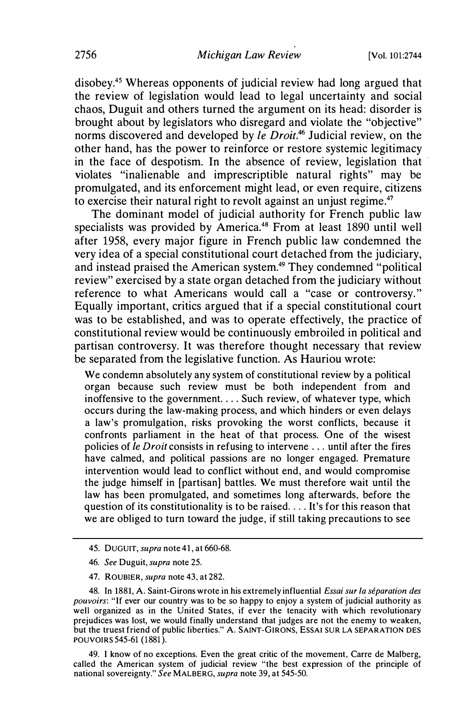disobey.45 Whereas opponents of judicial review had long argued that the review of legislation would lead to legal uncertainty and social chaos, Duguit and others turned the argument on its head: disorder is brought about by legislators who disregard and violate the "objective" norms discovered and developed by le Droit.<sup>46</sup> Judicial review, on the other hand, has the power to reinforce or restore systemic legitimacy in the face of despotism. In the absence of review, legislation that violates "inalienable and imprescriptible natural rights" may be promulgated, and its enforcement might lead, or even require, citizens to exercise their natural right to revolt against an unjust regime.<sup>47</sup>

The dominant model of judicial authority for French public law specialists was provided by America.<sup>48</sup> From at least 1890 until well after 1958, every major figure in French public law condemned the very idea of a special constitutional court detached from the judiciary, and instead praised the American system.<sup>49</sup> They condemned "political review" exercised by a state organ detached from the judiciary without reference to what Americans would call a "case or controversy." Equally important, critics argued that if a special constitutional court was to be established, and was to operate effectively, the practice of constitutional review would be continuously embroiled in political and partisan controversy. It was therefore thought necessary that review be separated from the legislative function. As Hauriou wrote:

We condemn absolutely any system of constitutional review by a political organ because such review must be both independent from and inoffensive to the government. ... Such review, of whatever type, which occurs during the law-making process, and which hinders or even delays a law's promulgation, risks provoking the worst conflicts, because it confronts parliament in the heat of that process. One of the wisest policies of le Droit consists in refusing to intervene  $\dots$  until after the fires have calmed, and political passions are no longer engaged. Premature intervention would lead to conflict without end, and would compromise the judge himself in [partisan] battles. We must therefore wait until the law has been promulgated, and sometimes long afterwards, before the question of its constitutionality is to be raised .... It's for this reason that we are obliged to turn toward the judge, if still taking precautions to see

49. I know of no exceptions. Even the great critic of the movement, Carre de Malberg, called the American system of judicial review "the best expression of the principle of national sovereignty." See MALBERG, supra note 39, at 545-50.

<sup>45.</sup> DUGUIT, supra note 41, at 660-68.

<sup>46.</sup> See Duguit, supra note 25.

<sup>47.</sup> ROUBIER, supra note 43, at 282.

<sup>48.</sup> In 1881, A. Saint-Girons wrote in his extremely influential *Essai sur la séparation des* pouvoirs: "If ever our country was to be so happy to enjoy a system of judicial authority as well organized as in the United States, if ever the tenacity with which revolutionary prejudices was lost, we would finally understand that judges are not the enemy to weaken, but the truest friend of public liberties." A. SAINT-GIRONS, ESSA! SUR LA SEPARATION DES POUVOIRS 545-61 (1881 ).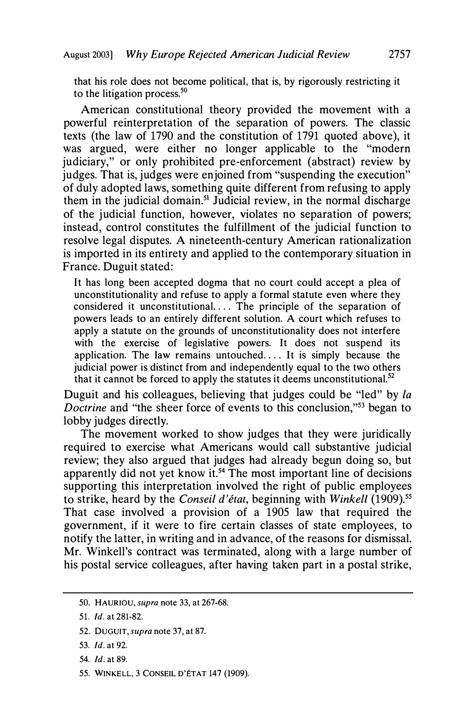that his role does not become political, that is, by rigorously restricting it to the litigation process.<sup>50</sup>

American constitutional theory provided the movement with a powerful reinterpretation of the separation of powers. The classic texts (the law of 1790 and the constitution of 1791 quoted above), it was argued, were either no longer applicable to the "modern judiciary," or only prohibited pre-enforcement (abstract) review by judges. That is, judges were enjoined from "suspending the execution" of duly adopted laws, something quite different from refusing to apply them in the judicial domain.51 Judicial review, in the normal discharge of the judicial function, however, violates no separation of powers; instead, control constitutes the fulfillment of the judicial function to resolve legal disputes. A nineteenth-century American rationalization is imported in its entirety and applied to the contemporary situation in France. Duguit stated:

It has long been accepted dogma that no court could accept a plea of unconstitutionality and refuse to apply a formal statute even where they considered it unconstitutional. ... The principle of the separation of powers leads to an entirely different solution. A court which refuses to apply a statute on the grounds of unconstitutionality does not interfere with the exercise of legislative powers. It does not suspend its application. The law remains untouched.... It is simply because the judicial power is distinct from and independently equal to the two others that it cannot be forced to apply the statutes it deems unconstitutional.<sup>52</sup>

Duguit and his colleagues, believing that judges could be "led" by la Doctrine and "the sheer force of events to this conclusion,"53 began to lobby judges directly.

The movement worked to show judges that they were juridically required to exercise what Americans would call substantive judicial review; they also argued that judges had already begun doing so, but apparently did not yet know it.<sup>54</sup> The most important line of decisions supporting this interpretation involved the right of public employees to strike, heard by the *Conseil d'état*, beginning with *Winkell* (1909).<sup>55</sup> That case involved a provision of a 1905 law that required the government, if it were to fire certain classes of state employees, to notify the latter, in writing and in advance, of the reasons for dismissal. Mr. Winkell's contract was terminated, along with a large number of his postal service colleagues, after having taken part in a postal strike,

- 53. Id. at 92.
- 54. Id. at 89.
- 55. WINKELL, 3 CONSEIL D'ETAT 147 (1909).

<sup>50.</sup> HAURIOU, supra note 33, at 267-68.

<sup>51.</sup> Id. at 281-82.

<sup>52.</sup> DUGUIT, supra note 37, at 87.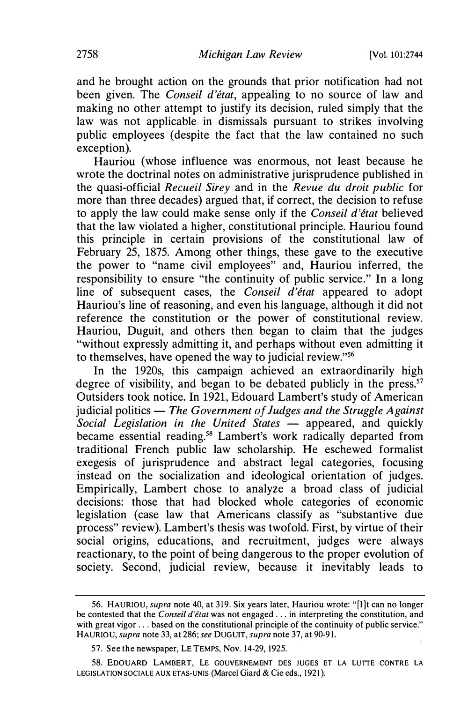and he brought action on the grounds that prior notification had not been given. The Conseil d'état, appealing to no source of law and making no other attempt to justify its decision, ruled simply that the law was not applicable in dismissals pursuant to strikes involving public employees (despite the fact that the law contained no such exception).

Hauriou (whose influence was enormous, not least because he wrote the doctrinal notes on administrative jurisprudence published in the quasi-official Recueil Sirey and in the Revue du droit public for more than three decades) argued that, if correct, the decision to refuse to apply the law could make sense only if the Conseil d'etat believed that the law violated a higher, constitutional principle. Hauriou found this principle in certain provisions of the constitutional law of February 25, 1875. Among other things, these gave to the executive the power to "name civil employees" and, Hauriou inferred, the responsibility to ensure "the continuity of public service." In a long line of subsequent cases, the *Conseil d'état* appeared to adopt Hauriou's line of reasoning, and even his language, although it did not reference the constitution or the power of constitutional review. Hauriou, Duguit, and others then began to claim that the judges "without expressly admitting it, and perhaps without even admitting it to themselves, have opened the way to judicial review."<sup>56</sup>

In the 1920s, this campaign achieved an extraordinarily high degree of visibility, and began to be debated publicly in the press. $57$ Outsiders took notice. In 1921, Edouard Lambert's study of American judicial politics  $-$  The Government of Judges and the Struggle Against Social Legislation in the United States  $\overline{\phantom{a}}$  appeared, and quickly became essential reading.<sup>58</sup> Lambert's work radically departed from traditional French public law scholarship. He eschewed formalist exegesis of jurisprudence and abstract legal categories, focusing instead on the socialization and ideological orientation of judges. Empirically, Lambert chose to analyze a broad class of judicial decisions: those that had blocked whole categories of economic legislation (case law that Americans classify as "substantive due process" review). Lambert's thesis was twofold. First, by virtue of their social origins, educations, and recruitment, judges were always reactionary, to the point of being dangerous to the proper evolution of society. Second, judicial review, because it inevitably leads to

<sup>56.</sup> HAURIOU, supra note 40, at 319. Six years later, Hauriou wrote: "[I]t can no longer be contested that the *Conseil d'état* was not engaged ... in interpreting the constitution, and with great vigor . . . based on the constitutional principle of the continuity of public service." HAURIOU, supra note 33, at 286; see DUGUIT, supra note 37, at 90-91.

<sup>57.</sup> See the newspaper, LE TEMPS, Nov. 14-29, 1925.

<sup>58.</sup> EDOUARD LAMBERT, LE GOUVERNEMENT DES JUGES ET LA LUTTE CONTRE LA LEGISLATION SOCIALE AUX ETAS-UNIS (Marcel Giard & Cie eds., 1921).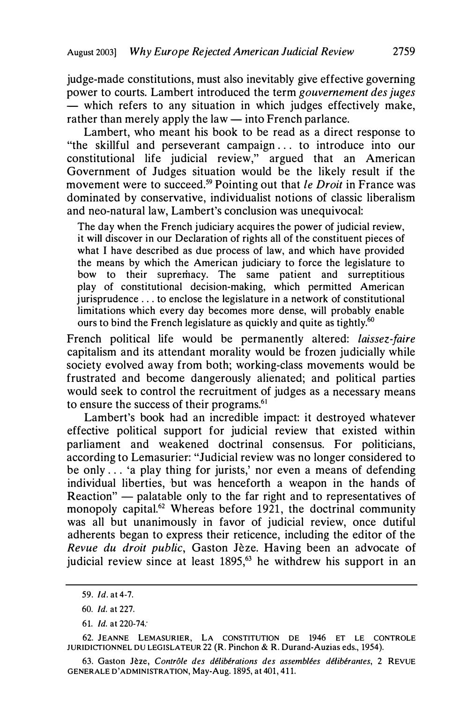judge-made constitutions, must also inevitably give effective governing power to courts. Lambert introduced the term gouvernement des juges - which refers to any situation in which judges effectively make, rather than merely apply the law  $-$  into French parlance.

Lambert, who meant his book to be read as a direct response to "the skillful and perseverant campaign . . . to introduce into our constitutional life judicial review," argued that an American Government of Judges situation would be the likely result if the movement were to succeed.<sup>59</sup> Pointing out that *le Droit* in France was dominated by conservative, individualist notions of classic liberalism and neo-natural law, Lambert's conclusion was unequivocal:

The day when the French judiciary acquires the power of judicial review, it will discover in our Declaration of rights all of the constituent pieces of what I have described as due process of law, and which have provided the means by which the American judiciary to force the legislature to bow to their supremacy. The same patient and surreptitious play of constitutional decision-making, which permitted American jurisprudence ... to enclose the legislature in a network of constitutional limitations which every day becomes more dense, will probably enable ours to bind the French legislature as quickly and quite as tightly.<sup>60</sup>

French political life would be permanently altered: laissez-faire capitalism and its attendant morality would be frozen judicially while society evolved away from both; working-class movements would be frustrated and become dangerously alienated; and political parties would seek to control the recruitment of judges as a necessary means to ensure the success of their programs.<sup>61</sup>

Lambert's book had an incredible impact: it destroyed whatever effective political support for judicial review that existed within parliament and weakened doctrinal consensus. For politicians, according to Lemasurier: "Judicial review was no longer considered to be only ... 'a play thing for jurists,' nor even a means of defending individual liberties, but was henceforth a weapon in the hands of  $Reaction"$   $\rightarrow$  palatable only to the far right and to representatives of monopoly capital.<sup>62</sup> Whereas before 1921, the doctrinal community was all but unanimously in favor of judicial review, once dutiful adherents began to express their reticence, including the editor of the Revue du droit public, Gaston Jèze. Having been an advocate of judicial review since at least  $1895$ ,<sup>63</sup> he withdrew his support in an

62. JEANNE LEMASURIER, LA CONSTITUTION DE 1946 ET LE CONTROLE JURIDICTIONNEL DU LEGJSLATEUR 22 (R. Pinchon & R. Durand-Auzias eds., 1954).

63. Gaston Jèze, Contrôle des délibérations des assemblées délibérantes, 2 REVUE GENERALE D'ADMINISTRATION, May-Aug. 1895, at 401, 411.

<sup>59.</sup> Id. at 4-7.

<sup>60.</sup> Id. at 227.

<sup>61.</sup> Id. at 220-74.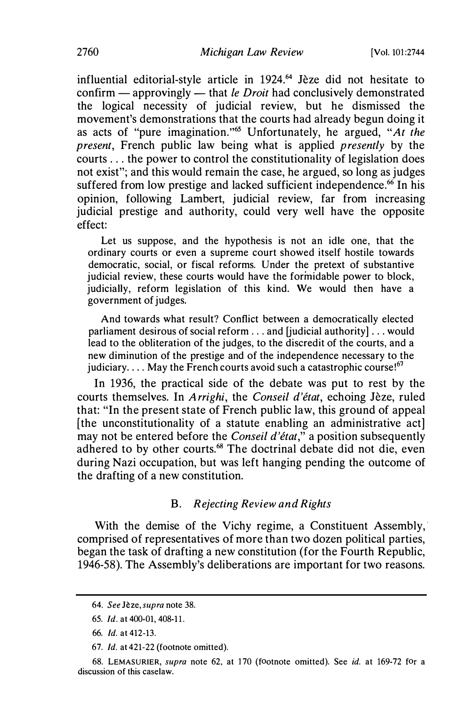influential editorial-style article in 1924.<sup>64</sup> Jèze did not hesitate to confirm  $-$  approvingly  $-$  that le Droit had conclusively demonstrated the logical necessity of judicial review, but he dismissed the movement's demonstrations that the courts had already begun doing it as acts of "pure imagination."<sup>65</sup> Unfortunately, he argued, "At the present, French public law being what is applied presently by the courts ... the power to control the constitutionality of legislation does not exist"; and this would remain the case, he argued, so long as judges suffered from low prestige and lacked sufficient independence.<sup>66</sup> In his opinion, following Lambert, judicial review, far from increasing judicial prestige and authority, could very well have the opposite effect:

Let us suppose, and the hypothesis is not an idle one, that the ordinary courts or even a supreme court showed itself hostile towards democratic, social, or fiscal reforms. Under the pretext of substantive judicial review, these courts would have the formidable power to block, judicially, reform legislation of this kind. We would then have a government of judges.

And towards what result? Conflict between a democratically elected parliament desirous of social reform  $\dots$  and [judicial authority]  $\dots$  would lead to the obliteration of the judges, to the discredit of the courts, and a new diminution of the prestige and of the independence necessary to the judiciary.... May the French courts avoid such a catastrophic course! $67$ 

In 1936, the practical side of the debate was put to rest by the courts themselves. In Arrighi, the Conseil d'état, echoing Jèze, ruled that: "In the present state of French public law, this ground of appeal [the unconstitutionality of a statute enabling an administrative act] may not be entered before the *Conseil d'état*," a position subsequently adhered to by other courts.<sup>68</sup> The doctrinal debate did not die, even during Nazi occupation, but was left hanging pending the outcome of the drafting of a new constitution.

#### B. Rejecting Review and Rights

With the demise of the Vichy regime, a Constituent Assembly, comprised of representatives of more than two dozen political parties, began the task of drafting a new constitution (for the Fourth Republic, 1946-58). The Assembly's deliberations are important for two reasons.

<sup>64.</sup> See Jèze, supra note 38.

<sup>65.</sup> Id. at 400-01, 408-11.

<sup>66.</sup> Id. at 412-13.

<sup>67.</sup> Id. at 421-22 (footnote omitted).

<sup>68.</sup> LEMASURIER, supra note 62, at 170 (footnote omitted). See id. at 169-72 for a discussion of this caselaw.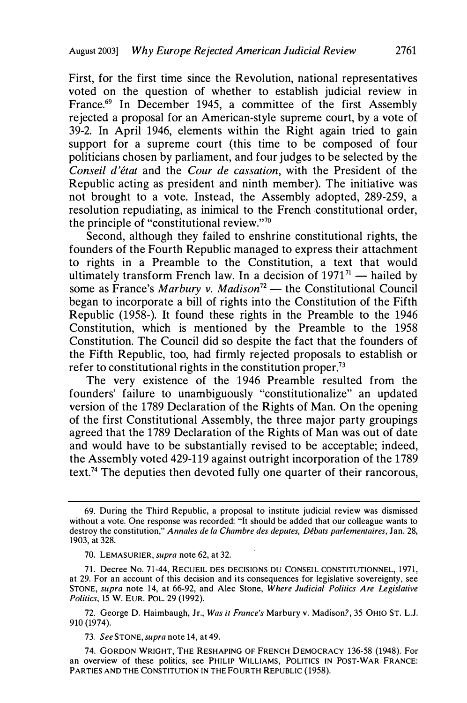First, for the first time since the Revolution, national representatives voted on the question of whether to establish judicial review in France.<sup>69</sup> In December 1945, a committee of the first Assembly rejected a proposal for an American-style supreme court, by a vote of 39-2. In April 1946, elements within the Right again tried to gain support for a supreme court (this time to be composed of four politicians chosen by parliament, and four judges to be selected by the Conseil d'état and the Cour de cassation, with the President of the Republic acting as president and ninth member). The initiative was not brought to a vote. Instead, the Assembly adopted, 289-259, a resolution repudiating, as inimical to the French constitutional order, the principle of "constitutional review."70

Second, although they failed to enshrine constitutional rights, the founders of the Fourth Republic managed to express their attachment to rights in a Preamble to the Constitution, a text that would ultimately transform French law. In a decision of  $1971<sup>71</sup>$  — hailed by some as France's Marbury v. Madison<sup>72</sup> — the Constitutional Council began to incorporate a bill of rights into the Constitution of the Fifth Republic (1958-). It found these rights in the Preamble to the 1946 Constitution, which is mentioned by the Preamble to the 1958 Constitution. The Council did so despite the fact that the founders of the Fifth Republic, too, had firmly rejected proposals to establish or refer to constitutional rights in the constitution proper.<sup>73</sup>

The very existence of the 1946 Preamble resulted from the founders' failure to unambiguously "constitutionalize" an updated version of the 1789 Declaration of the Rights of Man. On the opening of the first Constitutional Assembly, the three major party groupings agreed that the 1789 Declaration of the Rights of Man was out of date and would have to be substantially revised to be acceptable; indeed, the Assembly voted 429-119 against outright incorporation of the 1789 text.<sup>74</sup> The deputies then devoted fully one quarter of their rancorous,

72. George D. Haimbaugh, Jr., Was it France's Marbury v. Madison?, 35 OHIO ST. L.J. 910 (1974).

73. See STONE, supra note 14, at 49.

74. GORDON WRIGHT, THE RESHAPING OF FRENCH DEMOCRACY 136-58 (1948). For an overview of these politics, see PHILIP WILLIAMS, POLITICS IN POST-WAR FRANCE: PARTIES AND THE CONSTITUTION IN THE FOURTH REPUBLIC (1958).

<sup>69.</sup> During the Third Republic, a proposal to institute judicial review was dismissed without a vote. One response was recorded: "It should be added that our colleague wants to destroy the constitution," Annales de la Chambre des deputes, Débats parlementaires, Jan. 28, 1903, at 328.

<sup>70.</sup> LEMASURIER, supra note 62, at 32.

<sup>71.</sup> Decree No. 71-44, RECUEIL DES DECISIONS DU CONSEIL CONSTITUTIONNEL, 1971, at 29. For an account of this decision and its consequences for legislative sovereignty, see STONE, supra note 14, at 66-92, and Alec Stone, Where Judicial Politics Are Legislative Politics, 15 W. EUR. POL. 29 (1992).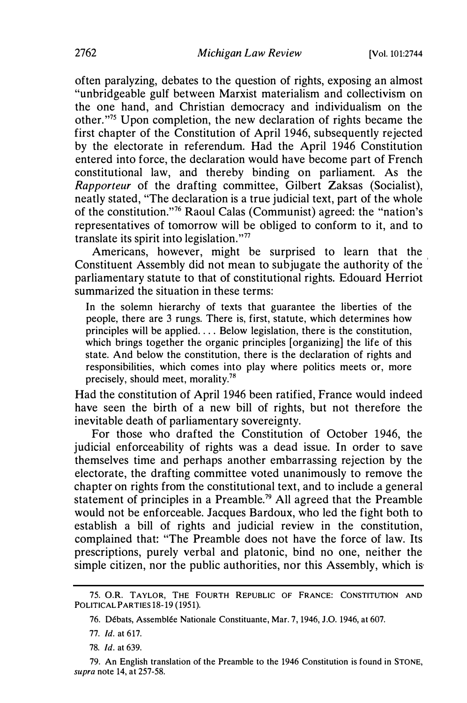often paralyzing, debates to the question of rights, exposing an almost "unbridgeable gulf between Marxist materialism and collectivism on the one hand, and Christian democracy and individualism on the other."75 Upon completion, the new declaration of rights became the first chapter of the Constitution of April 1946, subsequently rejected by the electorate in referendum. Had the April 1946 Constitution entered into force, the declaration would have become part of French constitutional law, and thereby binding on parliament. As the Rapporteur of the drafting committee, Gilbert Zaksas (Socialist), neatly stated, "The declaration is a true judicial text, part of the whole of the constitution."<sup>76</sup> Raoul Calas (Communist) agreed: the "nation's representatives of tomorrow will be obliged to conform to it, and to translate its spirit into legislation."77

Americans, however, might be surprised to learn that the Constituent Assembly did not mean to subjugate the authority of the ' parliamentary statute to that of constitutional rights. Edouard Herriot summarized the situation in these terms:

In the solemn hierarchy of texts that guarantee the liberties of the people, there are 3 rungs. There is, first, statute, which determines how principles will be applied. . . . Below legislation, there is the constitution, which brings together the organic principles [organizing] the life of this state. And below the constitution, there is the declaration of rights and responsibilities, which comes into play where politics meets or, more precisely, should meet, morality.78

Had the constitution of April 1946 been ratified, France would indeed have seen the birth of a new bill of rights, but not therefore the inevitable death of parliamentary sovereignty.

For those who drafted the Constitution of October 1946, the judicial enforceability of rights was a dead issue. In order to save themselves time and perhaps another embarrassing rejection by the electorate, the drafting committee voted unanimously to remove the chapter on rights from the constitutional text, and to include a general statement of principles in a Preamble.<sup>79</sup> All agreed that the Preamble would not be enforceable. Jacques Bardoux, who led the fight both to establish a bill of rights and judicial review in the constitution, complained that: "The Preamble does not have the force of law. Its prescriptions, purely verbal and platonic, bind no one, neither the simple citizen, nor the public authorities, nor this Assembly, which is'

79. An English translation of the Preamble to the 1946 Constitution is found in STONE, supra note 14, at 257-58.

<sup>75. 0.</sup>R. TAYLOR, THE FOURTH REPUBLIC OF FRANCE: CONSTITUTION AND POLITICAL PARTIES 18-19 (1951).

<sup>76.</sup> Debats, Assemblee Nationale Constituante, Mar. 7, 1946, J.O. 1946, at 607.

<sup>77.</sup> Id. at 617.

<sup>78.</sup> Id. at 639.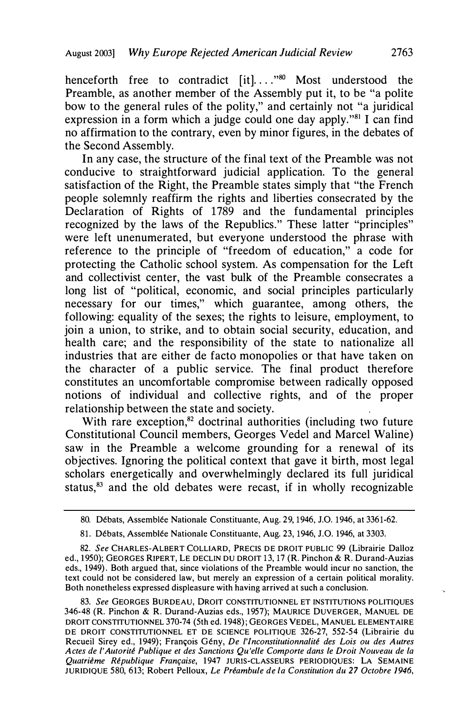henceforth free to contradict [it]...."<sup>80</sup> Most understood the Preamble, as another member of the Assembly put it, to be "a polite bow to the general rules of the polity," and certainly not "a juridical expression in a form which a judge could one day apply."<sup>81</sup> I can find no affirmation to the contrary, even by minor figures, in the debates of the Second Assembly.

In any case, the structure of the final text of the Preamble was not conducive to straightforward judicial application. To the general satisfaction of the Right, the Preamble states simply that "the French people solemnly reaffirm the rights and liberties consecrated by the Declaration of Rights of 1789 and the fundamental principles recognized by the laws of the Republics." These latter "principles" were left unenumerated, but everyone understood the phrase with reference to the principle of "freedom of education," a code for protecting the Catholic school system. As compensation for the Left and collectivist center, the vast bulk of the Preamble consecrates a long list of "political, economic, and social principles particularly necessary for our times," which guarantee, among others, the following: equality of the sexes; the rights to leisure, employment, to join a union, to strike, and to obtain social security, education, and health care; and the responsibility of the state to nationalize all industries that are either de facto monopolies or that have taken on the character of a public service. The final product therefore constitutes an uncomfortable compromise between radically opposed notions of individual and collective rights, and of the proper relationship between the state and society.

With rare exception,<sup>82</sup> doctrinal authorities (including two future Constitutional Council members, Georges Vedel and Marcel Waline) saw in the Preamble a welcome grounding for a renewal of its objectives. Ignoring the political context that gave it birth, most legal scholars energetically and overwhelmingly declared its full juridical status, $83$  and the old debates were recast, if in wholly recognizable

<sup>80.</sup> Debats, Assemblee Nationale Constituante, Aug. 29, 1946, J.O. 1946, at 3361-62.

<sup>81.</sup> Débats, Assemblée Nationale Constituante, Aug. 23, 1946, J.O. 1946, at 3303.

<sup>82.</sup> See CHARLES-ALBERT COLLIARD, PRECIS DE DROIT PUBLIC 99 (Librairie Dalloz ed., 1950); GEORGES RIPERT, LE DECLIN DU DROIT 13, 17 (R. Pinchon & R. Durand-Auzias eds., 1949). Both argued that, since violations of the Preamble would incur no sanction, the text could not be considered law, but merely an expression of a certain political morality. Both nonetheless expressed displeasure with having arrived at such a conclusion.

<sup>83.</sup> See GEORGES BURDEAU, DROIT CONSTITUTIONNEL ET INSTITUTIONS POLITIQUES 346-48 (R. Pinchon & R. Durand-Auzias eds., 1957); MAURICE DUVERGER, MANUEL DE DROIT CONSTITUTIONNEL 370-74 (5th ed. 1948); GEORGES VEDEL, MANUEL ELEMENTAIRE DE DROIT CONSTITUTIONNEL ET DE SCIENCE POLITIQUE 326-27, 552-54 (Librairie du Recueil Sirey ed., 1949); François Gény, De l'Inconstitutionnalité des Lois ou des Autres Actes de l'Autorite Publique et des Sanctions Qu'elle Comporte dans le Droit Nouveau de la Quatrième République Française, 1947 JURIS-CLASSEURS PERIODIQUES: LA SEMAINE JURIDIQUE 580, 613; Robert Pelloux, Le Preambule de la Constitution du 27 Octobre 1946,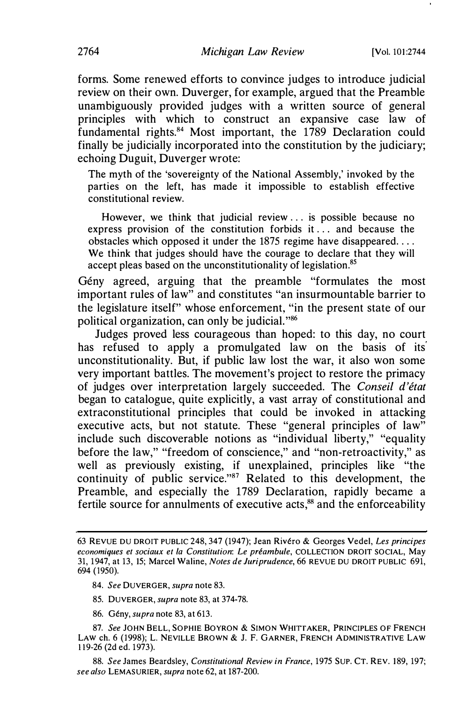forms. Some renewed efforts to convince judges to introduce judicial review on their own. Duverger, for example, argued that the Preamble unambiguously provided judges with a written source of general principles with which to construct an expansive case law of fundamental rights.<sup>84</sup> Most important, the 1789 Declaration could finally be judicially incorporated into the constitution by the judiciary; echoing Duguit, Duverger wrote:

The myth of the 'sovereignty of the National Assembly,' invoked by the parties on the left, has made it impossible to establish effective constitutional review.

However, we think that judicial review ... is possible because no express provision of the constitution forbids it ... and because the obstacles which opposed it under the  $1875$  regime have disappeared... We think that judges should have the courage to declare that they will accept pleas based on the unconstitutionality of legislation.<sup>85</sup>

Geny agreed, arguing that the preamble "formulates the most important rules of law" and constitutes "an insurmountable barrier to the legislature itself" whose enforcement, "in the present state of our political organization, can only be judicial."<sup>86</sup>

Judges proved less courageous than hoped: to this day, no court has refused to apply a promulgated law on the basis of its unconstitutionality. But, if public law lost the war, it also won some very important battles. The movement's project to restore the primacy of judges over interpretation largely succeeded. The Conseil d'état began to catalogue, quite explicitly, a vast array of constitutional and extraconstitutional principles that could be invoked in attacking executive acts, but not statute. These "general principles of law" include such discoverable notions as "individual liberty," "equality before the law," "freedom of conscience," and "non-retroactivity," as well as previously existing, if unexplained, principles like "the continuity of public service."<sup>87</sup> Related to this development, the Preamble, and especially the 1789 Declaration, rapidly became a fertile source for annulments of executive acts,<sup>88</sup> and the enforceability

- 84. See OUVERGER, supra note 83.
- 85. DUVERGER, supra note 83, at 374-78.
- 86. Geny, supra note 83, at 613.

<sup>63</sup> REVUE DU DROIT PUBLIC 248, 347 (1947); Jean Rivero & Georges Vedel, Les principes economiques et sociaux et la Constitution: Le preambule, COLLECTION DROIT SOCIAL, May 31, 1947, at 13, 15; Marcel Waline, Notes de Juriprudence, 66 REVUE DU DROIT PUBLIC 691, 694 (1950).

<sup>87.</sup> See JOHN BELL, SOPHIE BOYRON & SIMON WHITTAKER, PRINCIPLES OF FRENCH LAW ch. 6 (1998); L. NEVILLE BROWN & J. F. GARNER, FRENCH ADMINISTRATIVE LAW 1 19-26 (2d ed. 1973).

<sup>88.</sup> See James Beardsley, Constitutional Review in France, 1975 SUP. CT. REV. 189, 197; see also LEMASURIER, supra note 62, at 187-200.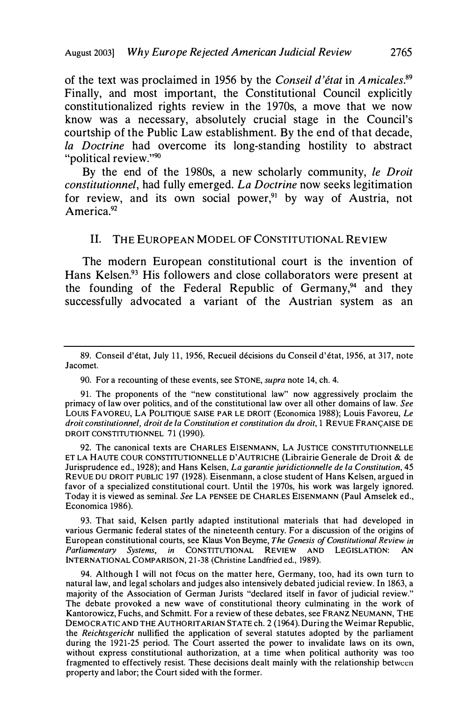of the text was proclaimed in 1956 by the Conseil d'état in Amicales.<sup>89</sup> Finally, and most important, the Constitutional Council explicitly constitutionalized rights review in the 1970s, a move that we now know was a necessary, absolutely crucial stage in the Council's courtship of the Public Law establishment. By the end of that decade, la Doctrine had overcome its long-standing hostility to abstract "political review."90

By the end of the 1980s, a new scholarly community, le Droit constitutionnel, had fully emerged. La Doctrine now seeks legitimation for review, and its own social power, $91$  by way of Austria, not America.92

#### II. THE EUROPEAN MODEL OF CONSTITUTIONAL REVIEW

The modern European constitutional court is the invention of Hans Kelsen.<sup>93</sup> His followers and close collaborators were present at the founding of the Federal Republic of Germany, $94$  and they successfully advocated a variant of the Austrian system as an

90. For a recounting of these events, see STONE, supra note 14, ch. 4.

91. The proponents of the "new constitutional law" now aggressively proclaim the primacy of law over politics, and of the constitutional law over all other domains of law. See LOUIS FA VOREU, LA POLITIQUE SAISE PAR LE DROIT (Economica 1988); Louis Favoreu, Le droit constitutionnel, droit de la Constitution et constitution du droit, 1 REVUE FRANCAISE DE DROIT CONSTITUTIONNEL 71 (1990).

92. The canonical texts are CHARLES EISENMANN, LA JUSTICE CONSTITUTIONNELLE ET LA HAUTE COUR CONSTITUTIONNELLE D'AUTRICHE (Librairie Generale de Droit & de Jurisprudence ed., 1928); and Hans Kelsen, La garantie juridictionnelle de la Constitution, 45 REVUE DU DROIT PUBLIC 197 (1928). Eisenmann, a close student of Hans Kelsen, argued in favor of a specialized constitutional court. Until the 1970s, his work was largely ignored. Today it is viewed as seminal. See LA PENSEE DE CHARLES EISENMANN (Paul Amselek ed., Economica 1986).

93. That said, Kelsen partly adapted institutional materials that had developed in various Germanic federal states of the nineteenth century. For a discussion of the origins of European constitutional courts, see Klaus Von Beyme, The Genesis of Constitutional Review in Parliamentary Systems, in CONSTITUTIONAL REVIEW AND LEGISLATION: INTERNATIONAL COMPARISON, 21-38 (Christine Landfried ed., 1989).

94. Although I will not focus on the matter here, Germany, too, had its own turn to natural law, and legal scholars and judges also intensively debated judicial review. In 1863, a majority of the Association of German Jurists "declared itself in favor of judicial review." The debate provoked a new wave of constitutional theory culminating in the work of Kantorowicz, Fuchs, and Schmitt. For a review of these debates, see FRANZ NEUMANN, THE DEMOCRATIC AND THE AUTHORITARIAN STATE ch. 2 (1964). During the Weimar Republic, the Reichtsgericht nullified the application of several statutes adopted by the parliament during the 1921-25 period. The Court asserted the power to invalidate laws on its own, without express constitutional authorization, at a time when political authority was too fragmented to effectively resist. These decisions dealt mainly with the relationship between property and labor; the Court sided with the former.

<sup>89.</sup> Conseil d'etat, July 11, 1956, Recueil decisions du Conseil d'etat, 1956, at 317, note Jacomet.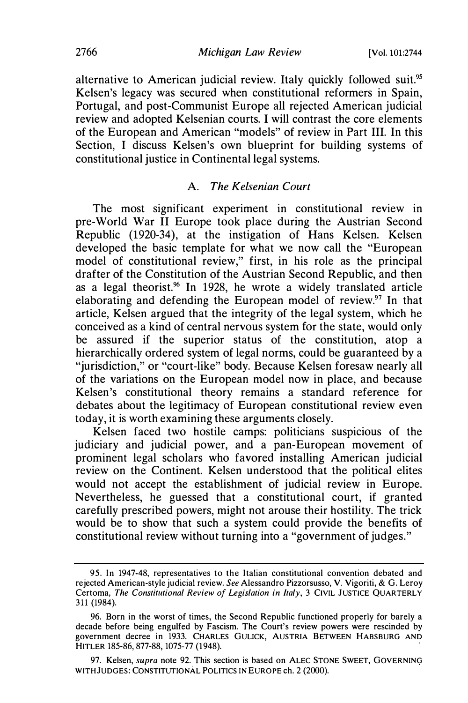alternative to American judicial review. Italy quickly followed suit.<sup>95</sup> Kelsen's legacy was secured when constitutional reformers in Spain, Portugal, and post-Communist Europe all rejected American judicial review and adopted Kelsenian courts. I will contrast the core elements of the European and American "models" of review in Part III. In this Section, I discuss Kelsen's own blueprint for building systems of constitutional justice in Continental legal systems.

#### A. The Kelsenian Court

The most significant experiment in constitutional review in pre-World War II Europe took place during the Austrian Second Republic (1920-34), at the instigation of Hans Kelsen. Kelsen. developed the basic template for what we now call the "European model of constitutional review," first, in his role as the principal drafter of the Constitution of the Austrian Second Republic, and then as a legal theorist.<sup>96</sup> In 1928, he wrote a widely translated article elaborating and defending the European model of review.<sup>97</sup> In that article, Kelsen argued that the integrity of the legal system, which he conceived as a kind of central nervous system for the state, would only be assured if the superior status of the constitution, atop a hierarchically ordered system of legal norms, could be guaranteed by a "jurisdiction," or "court-like" body. Because Kelsen foresaw nearly all of the variations on the European model now in place, and because Kelsen's constitutional theory remains a standard reference for debates about the legitimacy of European constitutional review even today, it is worth examining these arguments closely.

Kelsen faced two hostile camps: politicians suspicious of the judiciary and judicial power, and a pan-European movement of prominent legal scholars who favored installing American judicial review on the Continent. Kelsen understood that the political elites would not accept the establishment of judicial review in Europe. Nevertheless, he guessed that a constitutional court, if granted carefully prescribed powers, might not arouse their hostility. The trick would be to show that such a system could provide the benefits of constitutional review without turning into a "government of judges."

<sup>95.</sup> In 1947-48, representatives to the Italian constitutional convention debated and rejected American-style judicial review. See Alessandro Pizzorsusso, V. Vigoriti, & G. Leroy Certoma, The Constitutional Review of Legislation in Italy, 3 CIVIL JUSTICE QUARTERLY 311 (1984).

<sup>96.</sup> Born in the worst of times, the Second Republic functioned properly for barely a decade before being engulfed by Fascism. The Court's review powers were rescinded by government decree in 1933. CHARLES GULICK, AUSTRIA BETWEEN HABSBURG AND<br>HITLER 185-86,877-88,1075-77 (1948).

<sup>97.</sup> Kelsen, *supra* note 92. This section is based on ALEC STONE SWEET, GOVERNING WITH JUDGES: CONSTITUTIONAL POLITICS IN EUROPE ch. 2 (2000).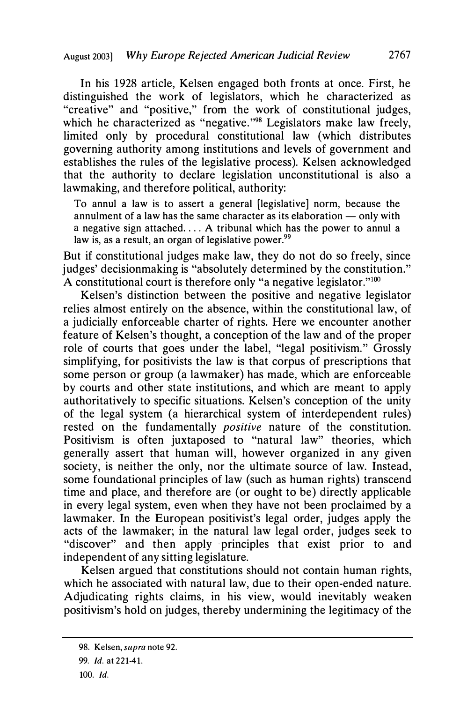In his 1928 article, Kelsen engaged both fronts at once. First, he distinguished the work of legislators, which he characterized as "creative" and "positive," from the work of constitutional judges, which he characterized as "negative."<sup>98</sup> Legislators make law freely, limited only by procedural constitutional law (which distributes governing authority among institutions and levels of government and establishes the rules of the legislative process). Kelsen acknowledged that the authority to declare legislation unconstitutional is also a lawmaking, and therefore political, authority:

To annul a law is to assert a general [legislative] norm, because the annulment of a law has the same character as its elaboration  $-$  only with a negative sign attached.... A tribunal which has the power to annul a law is, as a result, an organ of legislative power.<sup>99</sup>

But if constitutional judges make law, they do not do so freely, since judges' decisionmaking is "absolutely determined by the constitution." A constitutional court is therefore only "a negative legislator."<sup>100</sup>

Kelsen's distinction between the positive and negative legislator relies almost entirely on the absence, within the constitutional law, of a judicially enforceable charter of rights. Here we encounter another feature of Kelsen's thought, a conception of the law and of the proper role of courts that goes under the label, "legal positivism." Grossly simplifying, for positivists the law is that corpus of prescriptions that some person or group (a lawmaker) has made, which are enforceable by courts and other state institutions, and which are meant to apply authoritatively to specific situations. Kelsen's conception of the unity of the legal system (a hierarchical system of interdependent rules) rested on the fundamentally positive nature of the constitution. Positivism is often juxtaposed to "natural law" theories, which generally assert that human will, however organized in any given society, is neither the only, nor the ultimate source of law. Instead, some foundational principles of law (such as human rights) transcend time and place, and therefore are (or ought to be) directly applicable in every legal system, even when they have not been proclaimed by a lawmaker. In the European positivist's legal order, judges apply the acts of the lawmaker; in the natural law legal order, judges seek to "discover" and then apply principles that exist prior to and independent of any sitting legislature.

Kelsen argued that constitutions should not contain human rights, which he associated with natural law, due to their open-ended nature. Adjudicating rights claims, in his view, would inevitably weaken positivism's hold on judges, thereby undermining the legitimacy of the

<sup>98.</sup> Kelsen, supra note 92.

<sup>99.</sup> Id. at 221-41.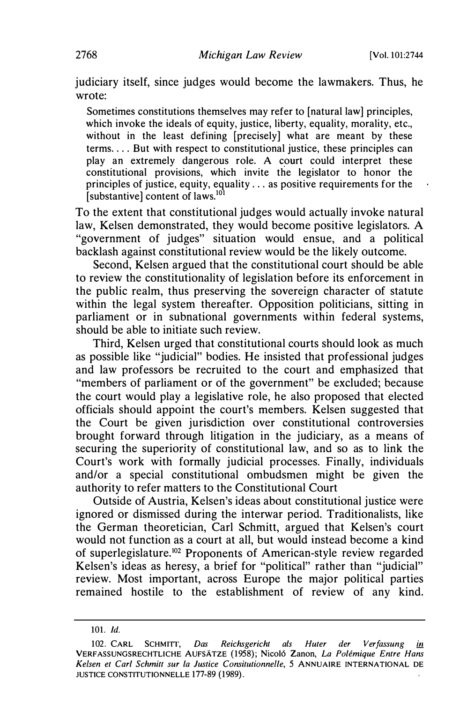judiciary itself, since judges would become the lawmakers. Thus, he wrote:

Sometimes constitutions themselves may refer to [natural law] principles, which invoke the ideals of equity, justice, liberty, equality, morality, etc., without in the least defining [precisely] what are meant by these terms.... But with respect to constitutional justice, these principles can play an extremely dangerous role. A court could interpret these constitutional provisions, which invite the legislator to honor the principles of justice, equity, equality ... as positive requirements for the [substantive] content of laws.101

To the extent that constitutional judges would actually invoke natural law, Kelsen demonstrated, they would become positive legislators. A "government of judges" situation would ensue, and a political backlash against constitutional review would be the likely outcome.

Second, Kelsen argued that the constitutional court should be able to review the constitutionality of legislation before its enforcement in the public realm, thus preserving the sovereign character of statute within the legal system thereafter. Opposition politicians, sitting in parliament or in subnational governments within federal systems, should be able to initiate such review.

Third, Kelsen urged that constitutional courts should look as much as possible like "judicial" bodies. He insisted that professional judges and law professors be recruited to the court and emphasized that "members of parliament or of the government" be excluded; because the court would play a legislative role, he also proposed that elected officials should appoint the court's members. Kelsen suggested that the Court be given jurisdiction over constitutional controversies brought forward through litigation in the judiciary, as a means of securing the superiority of constitutional law, and so as to link the Court's work with formally judicial processes. Finally, individuals and/or a special constitutional ombudsmen might be given the authority to refer matters to the Constitutional Court

Outside of Austria, Kelsen's ideas about constitutional justice were ignored or dismissed during the interwar period. Traditionalists, like the German theoretician, Carl Schmitt, argued that Kelsen's court would not function as a court at all, but would instead become a kind of superlegislature. 102 Proponents of American-style review regarded Kelsen's ideas as heresy, a brief for "political" rather than "judicial" review. Most important, across Europe the major political parties remained hostile to the establishment of review of any kind.

<sup>101.</sup> Id.

<sup>102.</sup> CARL SCHMITT, Das Reichsgericht als Huter der Verfassung in VERFASSUNGSRECHTLICHE AUFSATZE (1958); Nicol6 Zanon, La Polemique Entre Hans Kelsen et Carl Schmitt sur la Justice Consitutionnelle, 5 ANNUAIRE INTERNATIONAL DE JUSTICE CONSTITUTIONNELLE 177-89 (1989).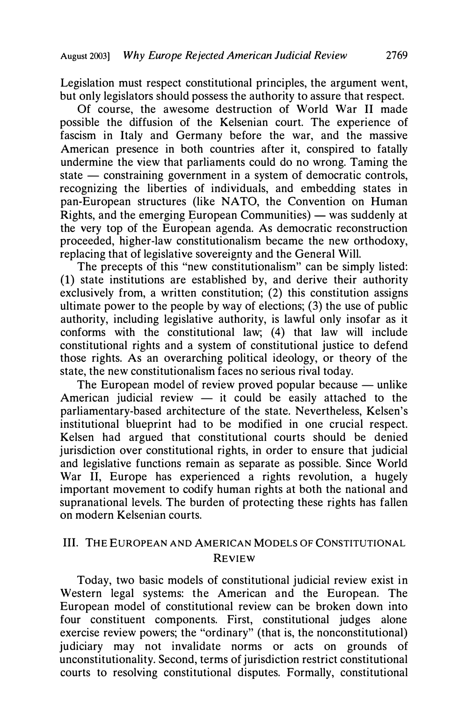Legislation must respect constitutional principles, the argument went, but only legislators should possess the authority to assure that respect.

Of course, the awesome destruction of World War II made possible the diffusion of the Kelsenian court. The experience of fascism in Italy and Germany before the war, and the massive American presence in both countries after it, conspired to fatally undermine the view that parliaments could do no wrong. Taming the state - constraining government in a system of democratic controls, recognizing the liberties of individuals, and embedding states in pan-European structures (like NATO, the Convention on Human  $Right$ s, and the emerging European Communities) — was suddenly at the very top of the European agenda. As democratic reconstruction proceeded, higher-law constitutionalism became the new orthodoxy, replacing that of legislative sovereignty and the General Will.

The precepts of this "new constitutionalism" can be simply listed: (1) state institutions are established by, and derive their authority exclusively from, a written constitution; (2) this constitution assigns ultimate power to the people by way of elections; (3) the use of public authority, including legislative authority, is lawful only insofar as it conforms with the constitutional law; (4) that law will include constitutional rights and a system of constitutional justice to defend those rights. As an overarching political ideology, or theory of the state, the new constitutionalism faces no serious rival today.

The European model of review proved popular because  $-$  unlike American judicial review  $-$  it could be easily attached to the parliamentary-based architecture of the state. Nevertheless, Kelsen's institutional blueprint had to be modified in one crucial respect. Kelsen had argued that constitutional courts should be denied jurisdiction over constitutional rights, in order to ensure that judicial and legislative functions remain as separate as possible. Since World War II, Europe has experienced a rights revolution, a hugely important movement to codify human rights at both the national and supranational levels. The burden of protecting these rights has fallen on modern Kelsenian courts.

## III. THE EUROPEAN AND AMERICAN MODELS OF CONSTITUTIONAL REVIEW

Today, two basic models of constitutional judicial review exist in Western legal systems: the American and the European. The European model of constitutional review can be broken down into four constituent components. First, constitutional judges alone exercise review powers; the "ordinary" (that is, the nonconstitutional) judiciary may not invalidate norms or acts on grounds of unconstitutionality. Second, terms of jurisdiction restrict constitutional courts to resolving constitutional disputes. Formally, constitutional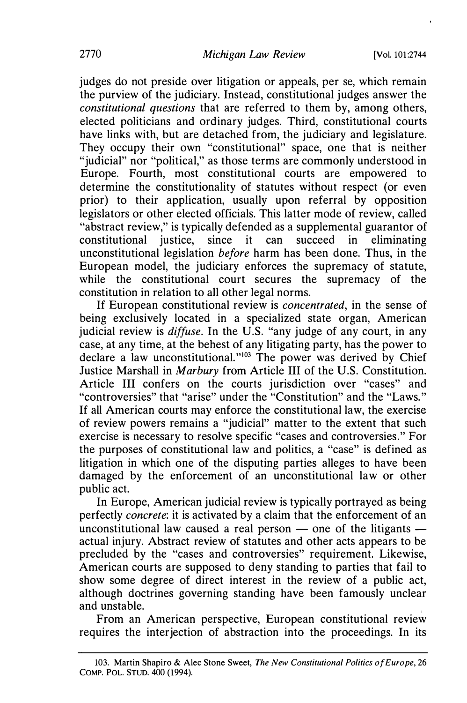judges do not preside over litigation or appeals, per se, which remain the purview of the judiciary. Instead, constitutional judges answer the constitutional questions that are referred to them by, among others, elected politicians and ordinary judges. Third, constitutional courts have links with, but are detached from, the judiciary and legislature. They occupy their own "constitutional" space, one that is neither "judicial" nor "political," as those terms are commonly understood in Europe. Fourth, most constitutional courts are empowered to determine the constitutionality of statutes without respect (or even prior) to their application, usually upon referral by opposition legislators or other elected officials. This latter mode of review, called "abstract review," is typically defended as a supplemental guarantor of constitutional justice, since it can succeed in eliminating unconstitutional legislation before harm has been done. Thus, in the European model, the judiciary enforces the supremacy of statute, while the constitutional court secures the supremacy of the constitution in relation to all other legal norms.

If European constitutional review is concentrated, in the sense of being exclusively located in a specialized state organ, American judicial review is diffuse. In the U.S. "any judge of any court, in any case, at any time, at the behest of any litigating party, has the power to declare a law unconstitutional."<sup>103</sup> The power was derived by Chief Justice Marshall in Marbury from Article III of the U.S. Constitution. Article III confers on the courts jurisdiction over "cases" and "controversies" that "arise" under the "Constitution" and the "Laws. " If all American courts may enforce the constitutional law, the exercise of review powers remains a "judicial" matter to the extent that such exercise is necessary to resolve specific "cases and controversies." For the purposes of constitutional law and politics, a "case" is defined as litigation in which one of the disputing parties alleges to have been damaged by the enforcement of an unconstitutional law or other public act.

In Europe, American judicial review is typically portrayed as being perfectly concrete: it is activated by a claim that the enforcement of an unconstitutional law caused a real person  $-$  one of the litigants  $$ actual injury. Abstract review of statutes and other acts appears to be precluded by the "cases and controversies" requirement. Likewise, American courts are supposed to deny standing to parties that fail to show some degree of direct interest in the review of a public act, although doctrines governing standing have been famously unclear and unstable.

From an American perspective, European constitutional review requires the interjection of abstraction into the proceedings. In its

<sup>103.</sup> Martin Shapiro & Alec Stone Sweet, The New Constitutional Politics of Europe, 26 COMP. POL. STUD. 400 (1994).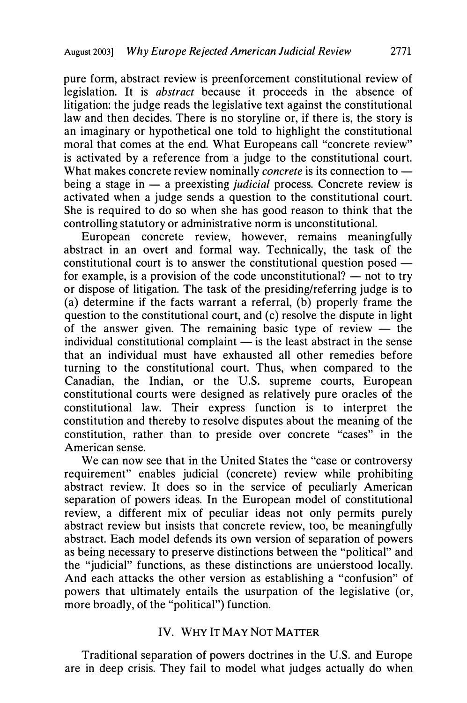pure form, abstract review is preenforcement constitutional review of legislation. It is *abstract* because it proceeds in the absence of litigation: the judge reads the legislative text against the constitutional law and then decides. There is no storyline or, if there is, the story is an imaginary or hypothetical one told to highlight the constitutional moral that comes at the end. What Europeans call "concrete review" is activated by a reference from a judge to the constitutional court. What makes concrete review nominally *concrete* is its connection to  $$ being a stage in  $-$  a preexisting *judicial* process. Concrete review is activated when a judge sends a question to the constitutional court. She is required to do so when she has good reason to think that the controlling statutory or administrative norm is unconstitutional.

European concrete review, however, remains meaningfully abstract in an overt and formal way. Technically, the task of the constitutional court is to answer the constitutional question posed  $$ for example, is a provision of the code unconstitutional?  $-$  not to try or dispose of litigation. The task of the presiding/referring judge is to (a) determine if the facts warrant a referral, (b) properly frame the question to the constitutional court, and  $(c)$  resolve the dispute in light of the answer given. The remaining basic type of review  $-$  the individual constitutional complaint  $-\overline{\ }$  is the least abstract in the sense that an individual must have exhausted all other remedies before turning to the constitutional court. Thus, when compared to the Canadian, the Indian, or the U.S. supreme courts, European constitutional courts were designed as relatively pure oracles of the constitutional law. Their express function is to interpret the constitution and thereby to resolve disputes about the meaning of the constitution, rather than to preside over concrete "cases" in the American sense.

We can now see that in the United States the "case or controversy requirement" enables judicial (concrete) review while prohibiting abstract review. It does so in the service of peculiarly American separation of powers ideas. In the European model of constitutional review, a different mix of peculiar ideas not only permits purely abstract review but insists that concrete review, too, be meaningfully abstract. Each model defends its own version of separation of powers as being necessary to preserve distinctions between the "political" and the "judicial" functions, as these distinctions are umierstood locally. And each attacks the other version as establishing a "confusion" of powers that ultimately entails the usurpation of the legislative (or, more broadly, of the "political") function.

### IV. WHY IT MAY NOT MATTER

Traditional separation of powers doctrines in the U.S. and Europe are in deep crisis. They fail to model what judges actually do when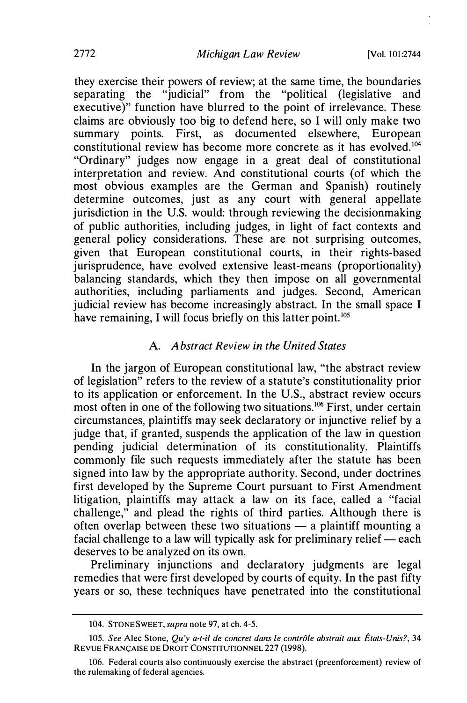they exercise their powers of review; at the same time, the boundaries separating the "judicial" from the "political (legislative and executive)" function have blurred to the point of irrelevance. These claims are obviously too big to defend here, so I will only make two summary points. First, as documented elsewhere, European constitutional review has become more concrete as it has evolved.<sup>104</sup> "Ordinary" judges now engage in a great deal of constitutional interpretation and review. And constitutional courts (of which the most obvious examples are the German and Spanish) routinely determine outcomes, just as any court with general appellate jurisdiction in the U.S. would: through reviewing the decisionmaking of public authorities, including judges, in light of fact contexts and general policy considerations. These are not surprising outcomes, given that European constitutional courts, in their rights-based jurisprudence, have evolved extensive least-means (proportionality) balancing standards, which they then impose on all governmental authorities, including parliaments and judges. Second, American judicial review has become increasingly abstract. In the small space I have remaining, I will focus briefly on this latter point.<sup>105</sup>

#### A. Abstract Review in the United States

In the jargon of European constitutional law, "the abstract review of legislation" refers to the review of a statute's constitutionality prior to its application or enforcement. In the U.S., abstract review occurs most often in one of the following two situations.<sup>106</sup> First, under certain circumstances, plaintiffs may seek declaratory or injunctive relief by a judge that, if granted, suspends the application of the law in question pending judicial determination of its constitutionality. Plaintiffs commonly file such requests immediately after the statute has been signed into law by the appropriate authority. Second, under doctrines first developed by the Supreme Court pursuant to First Amendment litigation, plaintiffs may attack a law on its face, called a "facial challenge," and plead the rights of third parties. Although there is often overlap between these two situations  $\overline{\phantom{a}}$  a plaintiff mounting a facial challenge to a law will typically ask for preliminary relief  $-$  each deserves to be analyzed on its own.

Preliminary injunctions and declaratory judgments are legal remedies that were first developed by courts of equity. In the past fifty years or so, these techniques have penetrated into the constitutional

<sup>104.</sup> STONE SWEET, supra note 97, at ch. 4-5.

<sup>105.</sup> See Alec Stone, Qu'y a-t-il de concret dans le contrôle abstrait aux États-Unis?, 34 REVUE FRANCAISE DE DROIT CONSTITUTIONNEL 227 (1998).

<sup>106.</sup> Federal courts also continuously exercise the abstract (preenforcement) review of the rulemaking of federal agencies.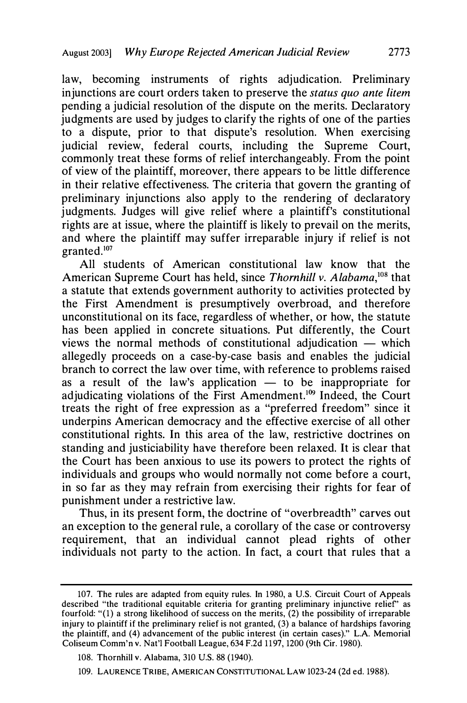law, becoming instruments of rights adjudication. Preliminary injunctions are court orders taken to preserve the *status quo ante litem* pending a judicial resolution of the dispute on the merits. Declaratory judgments are used by judges to clarify the rights of one of the parties to a dispute, prior to that dispute's resolution. When exercising judicial review, federal courts, including the Supreme Court, commonly treat these forms of relief interchangeably. From the point of view of the plaintiff, moreover, there appears to be little difference in their relative effectiveness. The criteria that govern the granting of preliminary injunctions also apply to the rendering of declaratory judgments. Judges will give relief where a plaintiff's constitutional rights are at issue, where the plaintiff is likely to prevail on the merits, and where the plaintiff may suffer irreparable injury if relief is not granted.107

All students of American constitutional law know that the American Supreme Court has held, since Thornhill v. Alabama,<sup>108</sup> that a statute that extends government authority to activities protected by the First Amendment is presumptively overbroad, and therefore unconstitutional on its face, regardless of whether, or how, the statute has been applied in concrete situations. Put differently, the Court views the normal methods of constitutional adjudication  $-$  which allegedly proceeds on a case-by-case basis and enables the judicial branch to correct the law over time, with reference to problems raised as a result of the law's application  $-$  to be inappropriate for adjudicating violations of the First Amendment.109 Indeed, the Court treats the right of free expression as a "preferred freedom" since it underpins American democracy and the effective exercise of all other constitutional rights. In this area of the law, restrictive doctrines on standing and justiciability have therefore been relaxed. It is clear that the Court has been anxious to use its powers to protect the rights of individuals and groups who would normally not come before a court, in so far as they may refrain from exercising their rights for fear of punishment under a restrictive law.

Thus, in its present form, the doctrine of "overbreadth" carves out an exception to the general rule, a corollary of the case or controversy requirement, that an individual cannot plead rights of other individuals not party to the action. In fact, a court that rules that a

<sup>107.</sup> The rules are adapted from equity rules. In 1980, a U.S. Circuit Court of Appeals described "the traditional equitable criteria for granting preliminary injunctive relief' as fourfold: "(1) a strong likelihood of success on the merits, (2) the possibility of irreparable injury to plaintiff if the preliminary relief is not granted, (3) a balance of hardships favoring the plaintiff, and (4) advancement of the public interest (in certain cases)." L.A. Memorial Coliseum Comm'n v. Nat'! Football League, 634 F.2d 1197, 1200 (9th Cir. 1980).

<sup>108.</sup> Thornhill v. Alabama, 310 U.S. 88 (1940).

<sup>109.</sup> LAURENCE TRIBE, AMERICAN CONSTITUTIONAL LAW 1023-24 (2d ed. 1988).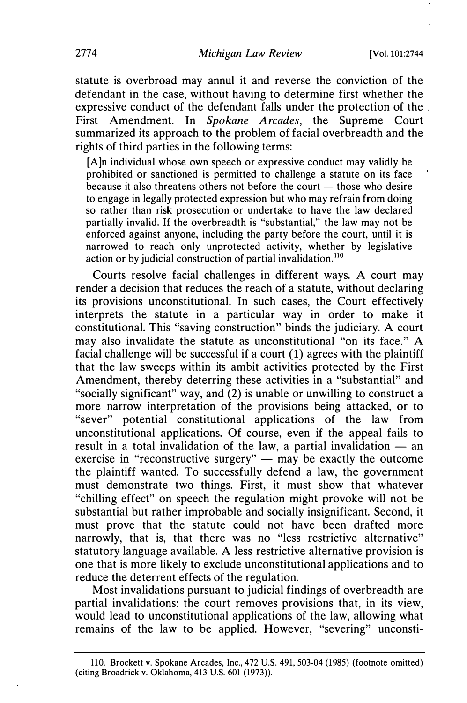statute is overbroad may annul it and reverse the conviction of the defendant in the case, without having to determine first whether the expressive conduct of the defendant falls under the protection of the . First Amendment. In Spokane Arcades, the Supreme Court summarized its approach to the problem of facial overbreadth and the rights of third parties in the following terms:

[A]n individual whose own speech or expressive conduct may validly be prohibited or sanctioned is permitted to challenge a statute on its face  $because$  it also threatens others not before the court  $-$  those who desire to engage in legally protected expression but who may refrain from doing so rather than risk prosecution or undertake to have the law declared partially invalid. If the overbreadth is "substantial," the law may not be enforced against anyone, including the party before the court, until it is narrowed to reach only unprotected activity, whether by legislative action or by judicial construction of partial invalidation.<sup>110</sup>

Courts resolve facial challenges in different ways. A court may render a decision that reduces the reach of a statute, without declaring its provisions unconstitutional. In such cases, the Court effectively interprets the statute in a particular way in order to make it constitutional. This "saving construction" binds the judiciary. A court may also invalidate the statute as unconstitutional "on its face." A facial challenge will be successful if a court (1) agrees with the plaintiff that the law sweeps within its ambit activities protected by the First Amendment, thereby deterring these activities in a "substantial" and "socially significant" way, and (2) is unable or unwilling to construct a more narrow interpretation of the provisions being attacked, or to "sever" potential constitutional applications of the law from unconstitutional applications. Of course, even if the appeal fails to result in a total invalidation of the law, a partial invalidation  $-$  an exercise in "reconstructive surgery"  $-$  may be exactly the outcome the plaintiff wanted. To successfully defend a law, the government must demonstrate two things. First, it must show that whatever "chilling effect" on speech the regulation might provoke will not be substantial but rather improbable and socially insignificant. Second, it must prove that the statute could not have been drafted more narrowly, that is, that there was no "less restrictive alternative" statutory language available. A less restrictive alternative provision is one that is more likely to exclude unconstitutional applications and to reduce the deterrent effects of the regulation.

Most invalidations pursuant to judicial findings of overbreadth are partial invalidations: the court removes provisions that, in its view, would lead to unconstitutional applications of the law, allowing what remains of the law to be applied. However, "severing" unconsti-

<sup>110.</sup> Brockett v. Spokane Arcades, Inc., 472 U.S. 491, 503-04 (1985) (footnote omitted) (citing Broadrick v. Oklahoma, 413 U.S. 601 (1973)).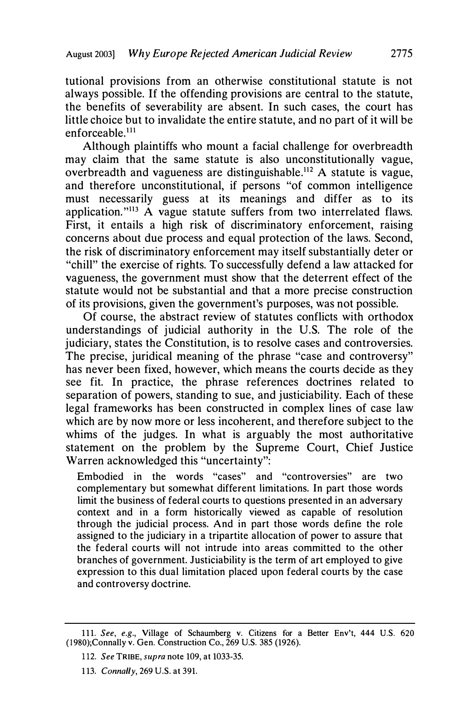tutional provisions from an otherwise constitutional statute is not always possible. If the offending provisions are central to the statute, the benefits of severability are absent. In such cases, the court has little choice but to invalidate the entire statute, and no part of it will be enforceable.<sup>111</sup>

Although plaintiffs who mount a facial challenge for overbreadth may claim that the same statute is also unconstitutionally vague, overbreadth and vagueness are distinguishable.112 A statute is vague, and therefore unconstitutional, if persons "of common intelligence must necessarily guess at its meanings and differ as to its application."<sup>113</sup> A vague statute suffers from two interrelated flaws. First, it entails a high risk of discriminatory enforcement, raising concerns about due process and equal protection of the laws. Second, the risk of discriminatory enforcement may itself substantially deter or "chill" the exercise of rights. To successfully defend a law attacked for vagueness, the government must show that the deterrent effect of the statute would not be substantial and that a more precise construction of its provisions, given the government's purposes, was not possible.

Of course, the abstract review of statutes conflicts with orthodox understandings of judicial authority in the U.S. The role of the judiciary, states the Constitution, is to resolve cases and controversies. The precise, juridical meaning of the phrase "case and controversy" has never been fixed, however, which means the courts decide as they see fit. In practice, the phrase references doctrines related to separation of powers, standing to sue, and justiciability. Each of these legal frameworks has been constructed in complex lines of case law which are by now more or less incoherent, and therefore subject to the whims of the judges. In what is arguably the most authoritative statement on the problem by the Supreme Court, Chief Justice Warren acknowledged this "uncertainty":

Embodied in the words "cases" and "controversies" are two complementary but somewhat different limitations. In part those words limit the business of federal courts to questions presented in an adversary context and in a form historically viewed as capable of resolution through the judicial process. And in part those words define the role assigned to the judiciary in a tripartite allocation of power to assure that the federal courts will not intrude into areas committed to the other branches of government. Justiciability is the term of art employed to give expression to this dual limitation placed upon federal courts by the case and controversy doctrine.

<sup>111.</sup> See, e.g., Village of Schaumberg v. Citizens for a Better Env't, 444 U.S. 620 ( 1980);Connally v. Gen. Construction Co., 269 U.S. 385 (1926).

<sup>112.</sup> See TRIBE, supra note 109, at 1033-35.

<sup>113.</sup> Connall y, 269 U.S. at 391.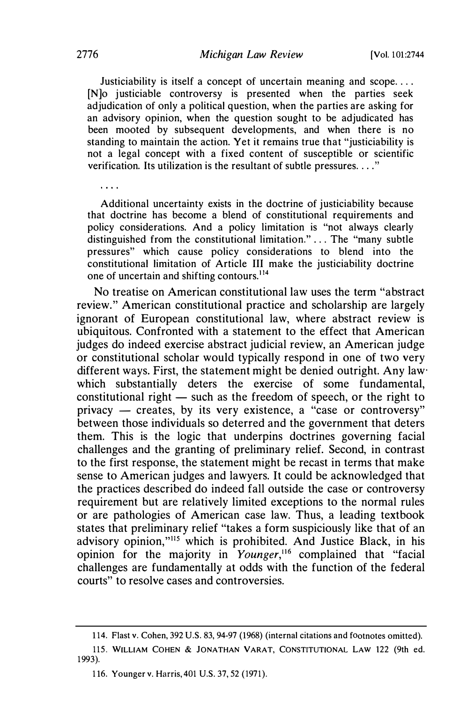Justiciability is itself a concept of uncertain meaning and scope.... [N)o justiciable controversy is presented when the parties seek adjudication of only a political question, when the parties are asking for an advisory opinion, when the question sought to be adjudicated has been mooted by subsequent developments, and when there is no standing to maintain the action. Yet it remains true that "justiciability is not a legal concept with a fixed content of susceptible or scientific verification. Its utilization is the resultant of subtle pressures. . . ."

Additional uncertainty exists in the doctrine of justiciability because that doctrine has become a blend of constitutional requirements and policy considerations. And a policy limitation is "not always clearly distinguished from the constitutional limitation." ... The "many subtle pressures" which cause policy considerations to blend into the constitutional limitation of Article III make the justiciability doctrine one of uncertain and shifting contours.<sup>114</sup>

No treatise on American constitutional law uses the term "abstract review." American constitutional practice and scholarship are largely ignorant of European constitutional law, where abstract review is ubiquitous. Confronted with a statement to the effect that American judges do indeed exercise abstract judicial review, an American judge or constitutional scholar would typically respond in one of two very different ways. First, the statement might be denied outright. Any law which substantially deters the exercise of some fundamental, constitutional right  $-$  such as the freedom of speech, or the right to privacy  $-$  creates, by its very existence, a "case or controversy" between those individuals so deterred and the government that deters them. This is the logic that underpins doctrines governing facial challenges and the granting of preliminary relief. Second, in contrast to the first response, the statement might be recast in terms that make sense to American judges and lawyers. It could be acknowledged that the practices described do indeed fall outside the case or controversy requirement but are relatively limited exceptions to the normal rules or are pathologies of American case law. Thus, a leading textbook states that preliminary relief "takes a form suspiciously like that of an advisory opinion,"115 which is prohibited. And Justice Black, in his opinion for the majority in Younger,<sup>116</sup> complained that "facial challenges are fundamentally at odds with the function of the federal courts" to resolve cases and controversies.

<sup>1 14.</sup> Flast v. Cohen, 392 U.S. 83, 94-97 (1968) (internal citations and footnotes omitted).

<sup>115.</sup> WILLIAM COHEN & JONATHAN VARAT, CONSTITUTIONAL LAW 122 (9th ed. 1993).

<sup>1 16.</sup> Younger v. Harris, 401 U.S. 37, 52 (1971).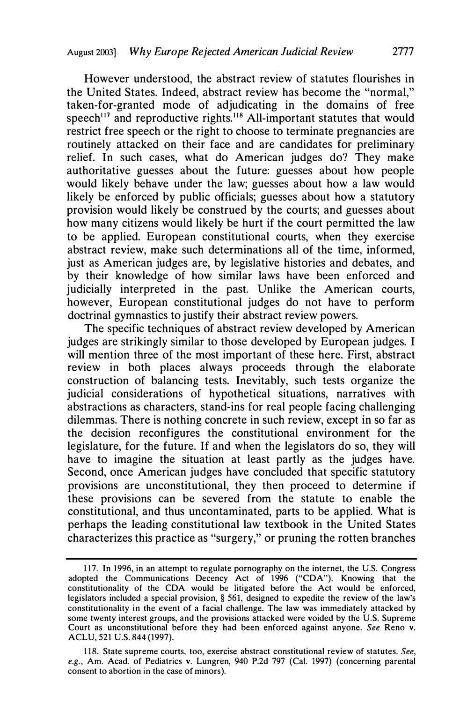However understood, the abstract review of statutes flourishes in the United States. Indeed, abstract review has become the "normal," taken-for-granted mode of adjudicating in the domains of free speech<sup>117</sup> and reproductive rights.<sup>118</sup> All-important statutes that would restrict free speech or the right to choose to terminate pregnancies are routinely attacked on their face and are candidates for preliminary relief. In such cases, what do American judges do? They make authoritative guesses about the future: guesses about how people would likely behave under the law; guesses about how a law would likely be enforced by public officials; guesses about how a statutory provision would likely be construed by the courts; and guesses about how many citizens would likely be hurt if the court permitted the law to be applied. European constitutional courts, when they exercise abstract review, make such determinations all of the time, informed, just as American judges are, by legislative histories and debates, and by their knowledge of how similar laws have been enforced and judicially interpreted in the past. Unlike the American courts, however, European constitutional judges do not have to perform doctrinal gymnastics to justify their abstract review powers.

The specific techniques of abstract review developed by American judges are strikingly similar to those developed by European judges. I will mention three of the most important of these here. First, abstract review in both places always proceeds through the elaborate construction of balancing tests. Inevitably, such tests organize the judicial considerations of hypothetical situations, narratives with abstractions as characters, stand-ins for real people facing challenging dilemmas. There is nothing concrete in such review, except in so far as the decision reconfigures the constitutional environment for the legislature, for the future. If and when the legislators do so, they will have to imagine the situation at least partly as the judges have. Second, once American judges have concluded that specific statutory provisions are unconstitutional, they then proceed to determine if these provisions can be severed from the statute to enable the constitutional, and thus uncontaminated, parts to be applied. What is perhaps the leading constitutional law textbook in the United States characterizes this practice as "surgery," or pruning the rotten branches

<sup>117.</sup> In 1996, in an attempt to regulate pornography on the internet, the U.S. Congress adopted the Communications Decency Act of 1996 ("CDA"). Knowing that the constitutionality of the CDA would be litigated before the Act would be enforced, legislators included a special provision, § 561, designed to expedite the review of the law's constitutionality in the event of a facial challenge. The law was immediately attacked by some twenty interest groups, and the provisions attacked were voided by the U.S. Supreme Court as unconstitutional before they had been enforced against anyone. See Reno v. ACLU, 521 U.S. 844 (1997).

<sup>118.</sup> State supreme courts, too, exercise abstract constitutional review of statutes. See, e.g., Am. Acad. of Pediatrics v. Lungren, 940 P.2d 797 (Cal. 1997) (concerning parental consent to abortion in the case of minors).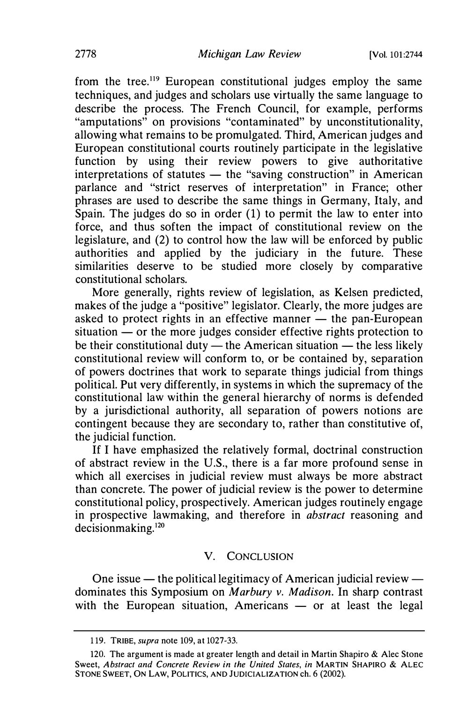from the tree.<sup>119</sup> European constitutional judges employ the same techniques, and judges and scholars use virtually the same language to describe the process. The French Council, for example, performs "amputations" on provisions "contaminated" by unconstitutionality, allowing what remains to be promulgated. Third, American judges and European constitutional courts routinely participate in the legislative function by using their review powers to give authoritative interpretations of statutes  $-$  the "saving construction" in American parlance and "strict reserves of interpretation" in France; other phrases are used to describe the same things in Germany, Italy, and Spain. The judges do so in order (1) to permit the law to enter into force, and thus soften the impact of constitutional review on the legislature, and (2) to control how the law will be enforced by public authorities and applied by the judiciary in the future. These similarities deserve to be studied more closely by comparative constitutional scholars.

More generally, rights review of legislation, as Kelsen predicted, makes of the judge a "positive" legislator. Clearly, the more judges are asked to protect rights in an effective manner  $-$  the pan-European situation — or the more judges consider effective rights protection to be their constitutional duty — the American situation — the less likely constitutional review will conform to, or be contained by, separation of powers doctrines that work to separate things judicial from things political. Put very differently, in systems in which the supremacy of the constitutional law within the general hierarchy of norms is defended by a jurisdictional authority, all separation of powers notions are contingent because they are secondary to, rather than constitutive of, the judicial function.

If I have emphasized the relatively formal, doctrinal construction of abstract review in the U.S., there is a far more profound sense in which all exercises in judicial review must always be more abstract than concrete. The power of judicial review is the power to determine constitutional policy, prospectively. American judges routinely engage in prospective lawmaking, and therefore in abstract reasoning and decisionmaking.<sup>120</sup>

#### V. CONCLUSION

One issue  $-$  the political legitimacy of American judicial review  $$ dominates this Symposium on Marbury v. Madison. In sharp contrast with the European situation, Americans  $-$  or at least the legal

<sup>1 19.</sup> TRIBE, supra note 109, at 1027-33.

<sup>120.</sup> The argument is made at greater length and detail in Martin Shapiro & Alec Stone Sweet, Abstract and Concrete Review in the United States, in MARTIN SHAPIRO & ALEC STONE SWEET, ON LAW, POLITICS, AND JUDICIALIZATION ch. 6 (2002).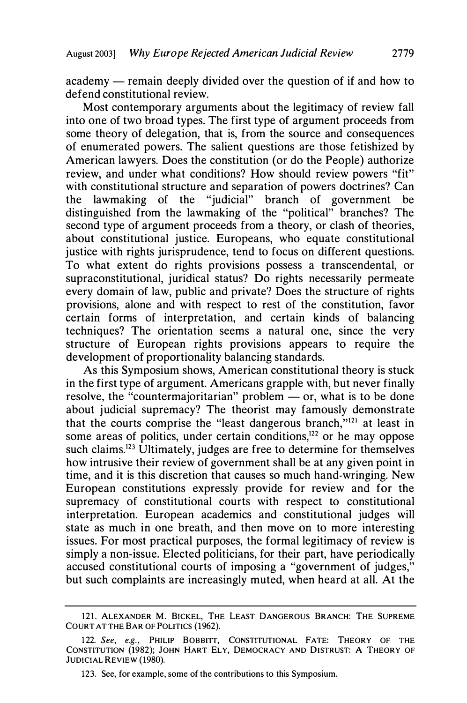academy — remain deeply divided over the question of if and how to defend constitutional review.

Most contemporary arguments about the legitimacy of review fall into one of two broad types. The first type of argument proceeds from some theory of delegation, that is, from the source and consequences of enumerated powers. The salient questions are those fetishized by American lawyers. Does the constitution (or do the People) authorize review, and under what conditions? How should review powers "fit" with constitutional structure and separation of powers doctrines? Can the lawmaking of the "judicial" branch of government be distinguished from the lawmaking of the "political" branches? The second type of argument proceeds from a theory, or clash of theories, about constitutional justice. Europeans, who equate constitutional justice with rights jurisprudence, tend to focus on different questions. To what extent do rights provisions possess a transcendental, or supraconstitutional, juridical status? Do rights necessarily permeate every domain of law, public and private? Does the structure of rights provisions, alone and with respect to rest of the constitution, favor certain forms of interpretation, and certain kinds of balancing techniques? The orientation seems a natural one, since the very structure of European rights provisions appears to require the development of proportionality balancing standards.

As this Symposium shows, American constitutional theory is stuck in the first type of argument. Americans grapple with, but never finally resolve, the "countermajoritarian" problem  $\sim$  or, what is to be done about judicial supremacy? The theorist may famously demonstrate that the courts comprise the "least dangerous branch,"121 at least in some areas of politics, under certain conditions,<sup>122</sup> or he may oppose such claims.<sup>123</sup> Ultimately, judges are free to determine for themselves how intrusive their review of government shall be at any given point in time, and it is this discretion that causes so much hand-wringing. New European constitutions expressly provide for review and for the supremacy of constitutional courts with respect to constitutional interpretation. European academics and constitutional judges will state as much in one breath, and then move on to more interesting issues. For most practical purposes, the formal legitimacy of review is simply a non-issue. Elected politicians, for their part, have periodically accused constitutional courts of imposing a "government of judges," but such complaints are increasingly muted, when heard at all. At the

<sup>121.</sup> ALEXANDER M. BICKEL, THE LEAST DANGEROUS BRANCH: THE SUPREME COURT AT THE BAR OF POLITICS (1962).

<sup>122.</sup> See, e.g., PHILIP BOBBITT, CONSTITUTIONAL FATE: THEORY OF THE CONSTITUTION (1982); JOHN HART ELY, DEMOCRACY AND DISTRUST: A THEORY OF JUDICIAL REVIEW (1980).

<sup>123.</sup> See, for example, some of the contributions to this Symposium.